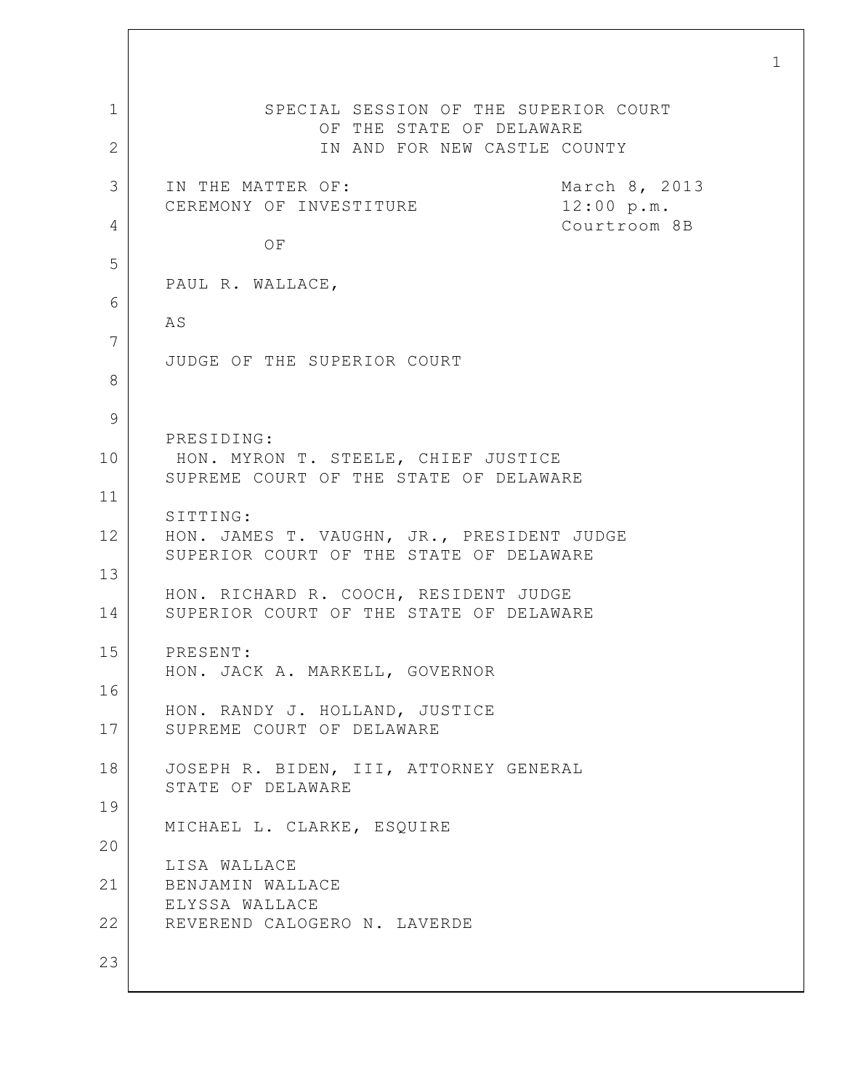1 2 3 4 5 6 7 8 9 10 11 12 13 14 15 16 17 18 19 20 21 22 23 SPECIAL SESSION OF THE SUPERIOR COURT OF THE STATE OF DELAWARE IN AND FOR NEW CASTLE COUNTY IN THE MATTER OF: March 8, 2013 CEREMONY OF INVESTITURE 12:00 p.m. Courtroom 8B OF PAUL R. WALLACE, AS JUDGE OF THE SUPERIOR COURT PRESIDING: HON. MYRON T. STEELE, CHIEF JUSTICE SUPREME COURT OF THE STATE OF DELAWARE SITTING: HON. JAMES T. VAUGHN, JR., PRESIDENT JUDGE SUPERIOR COURT OF THE STATE OF DELAWARE HON. RICHARD R. COOCH, RESIDENT JUDGE SUPERIOR COURT OF THE STATE OF DELAWARE PRESENT: HON. JACK A. MARKELL, GOVERNOR HON. RANDY J. HOLLAND, JUSTICE SUPREME COURT OF DELAWARE JOSEPH R. BIDEN, III, ATTORNEY GENERAL STATE OF DELAWARE MICHAEL L. CLARKE, ESQUIRE LISA WALLACE BENJAMIN WALLACE ELYSSA WALLACE REVEREND CALOGERO N. LAVERDE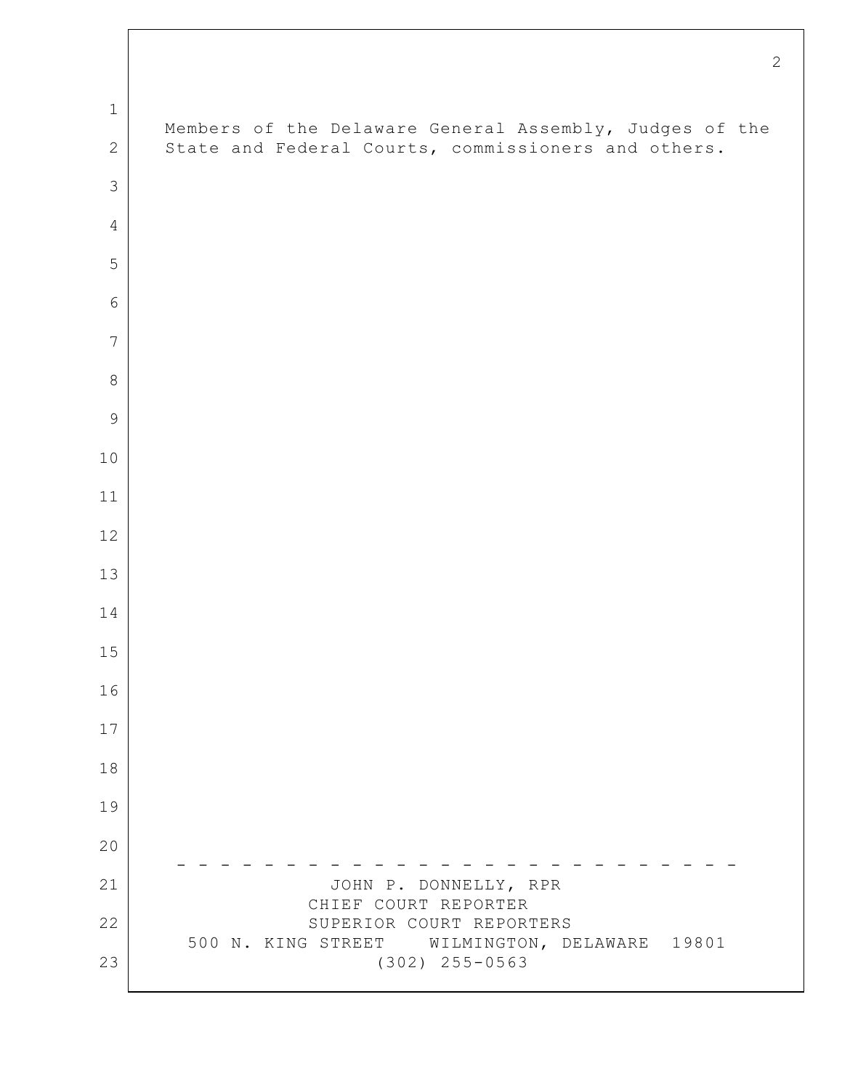|                | $\tilde{z}$                                                                                                    |
|----------------|----------------------------------------------------------------------------------------------------------------|
| $\mathbf 1$    |                                                                                                                |
| $\sqrt{2}$     | Members of the Delaware General Assembly, Judges of the<br>State and Federal Courts, commissioners and others. |
| 3              |                                                                                                                |
| $\overline{4}$ |                                                                                                                |
| 5              |                                                                                                                |
| 6              |                                                                                                                |
| 7              |                                                                                                                |
| $\,8\,$        |                                                                                                                |
| $\mathcal{G}$  |                                                                                                                |
| 10             |                                                                                                                |
| 11             |                                                                                                                |
| $12$           |                                                                                                                |
| 13             |                                                                                                                |
| 14             |                                                                                                                |
| 15             |                                                                                                                |
| 16             |                                                                                                                |
| 17             |                                                                                                                |
| 18             |                                                                                                                |
| 19             |                                                                                                                |
| 20             |                                                                                                                |
| 21             | JOHN P. DONNELLY, RPR<br>CHIEF COURT REPORTER                                                                  |
| 22             | SUPERIOR COURT REPORTERS<br>500 N. KING STREET WILMINGTON, DELAWARE 19801                                      |
| 23             | $(302)$ 255-0563                                                                                               |

 $\Gamma$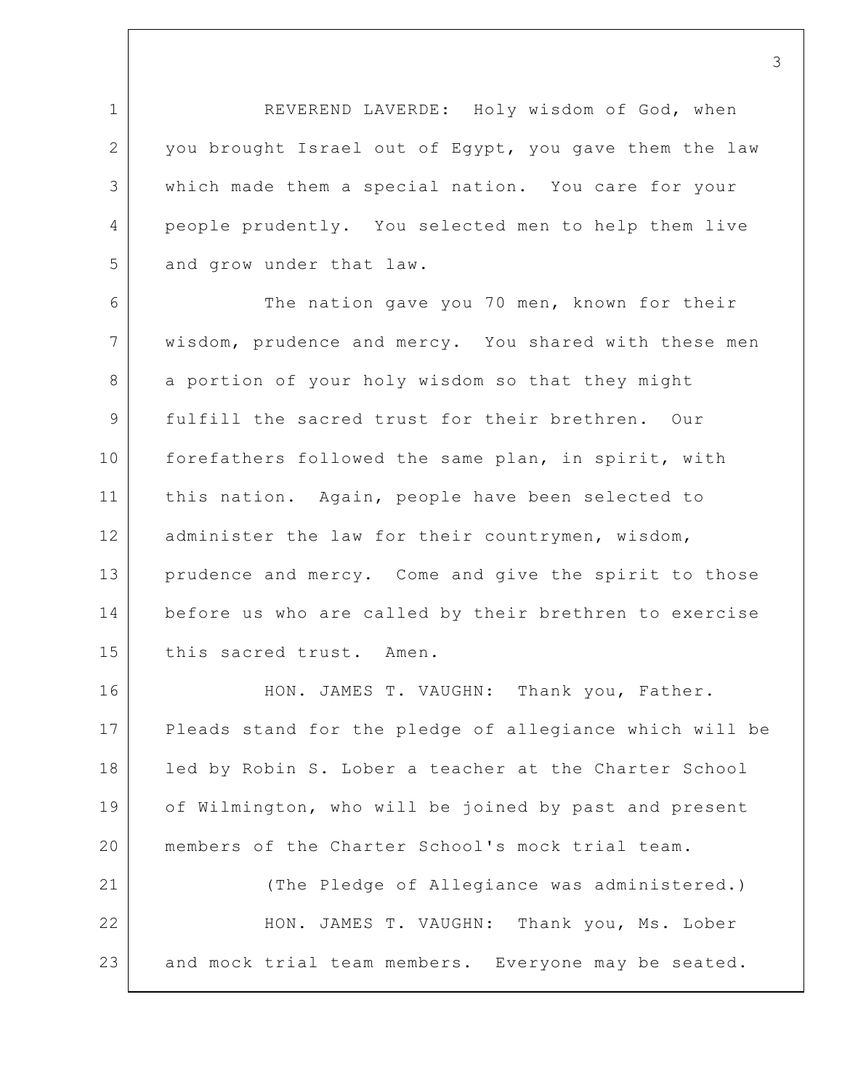1 2 3 4 5 REVEREND LAVERDE: Holy wisdom of God, when you brought Israel out of Egypt, you gave them the law which made them a special nation. You care for your people prudently. You selected men to help them live and grow under that law.

6 7 8 9 10 11 12 13 14 15 The nation gave you 70 men, known for their wisdom, prudence and mercy. You shared with these men a portion of your holy wisdom so that they might fulfill the sacred trust for their brethren. Our forefathers followed the same plan, in spirit, with this nation. Again, people have been selected to administer the law for their countrymen, wisdom, prudence and mercy. Come and give the spirit to those before us who are called by their brethren to exercise this sacred trust. Amen.

16 17 18 19 20 21 22 HON. JAMES T. VAUGHN: Thank you, Father. Pleads stand for the pledge of allegiance which will be led by Robin S. Lober a teacher at the Charter School of Wilmington, who will be joined by past and present members of the Charter School's mock trial team. (The Pledge of Allegiance was administered.) HON. JAMES T. VAUGHN: Thank you, Ms. Lober

23 and mock trial team members. Everyone may be seated.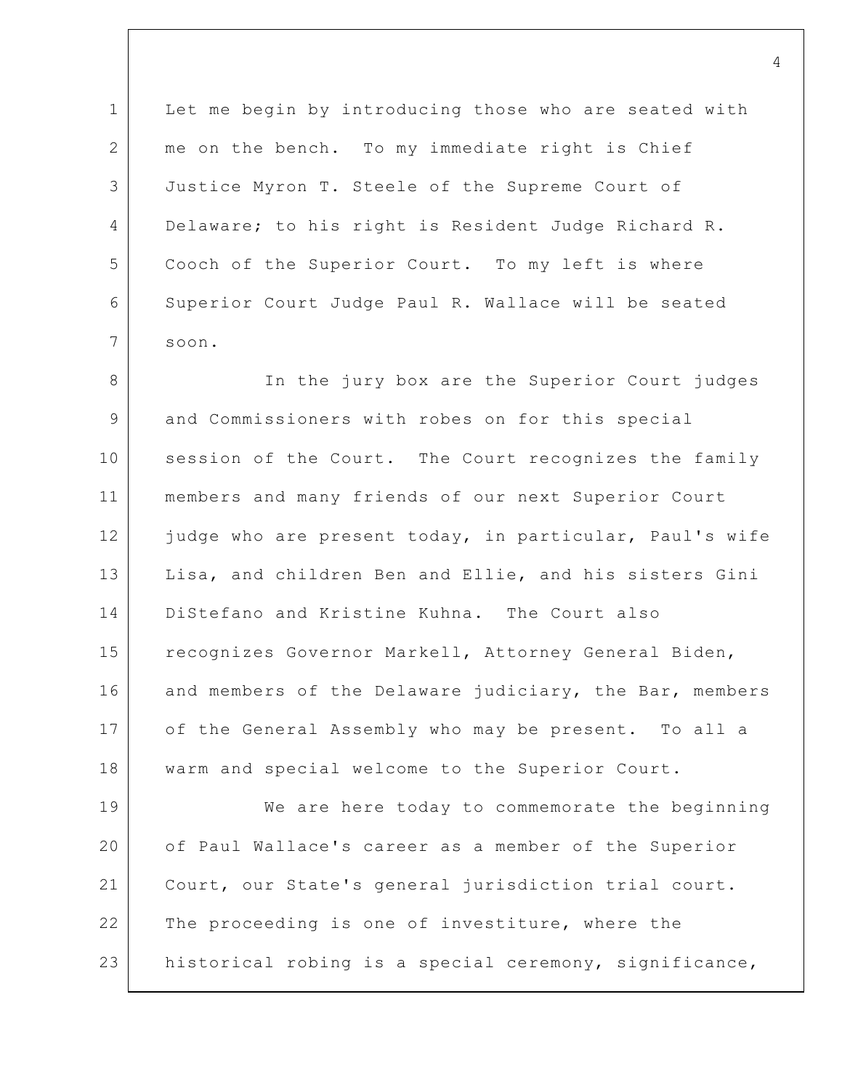1 2 3 4 5 6 7 Let me begin by introducing those who are seated with me on the bench. To my immediate right is Chief Justice Myron T. Steele of the Supreme Court of Delaware; to his right is Resident Judge Richard R. Cooch of the Superior Court. To my left is where Superior Court Judge Paul R. Wallace will be seated soon.

8 9 10 11 12 13 14 15 16 17 18 In the jury box are the Superior Court judges and Commissioners with robes on for this special session of the Court. The Court recognizes the family members and many friends of our next Superior Court judge who are present today, in particular, Paul's wife Lisa, and children Ben and Ellie, and his sisters Gini DiStefano and Kristine Kuhna. The Court also recognizes Governor Markell, Attorney General Biden, and members of the Delaware judiciary, the Bar, members of the General Assembly who may be present. To all a warm and special welcome to the Superior Court.

19 20 21 22 23 We are here today to commemorate the beginning of Paul Wallace's career as a member of the Superior Court, our State's general jurisdiction trial court. The proceeding is one of investiture, where the historical robing is a special ceremony, significance,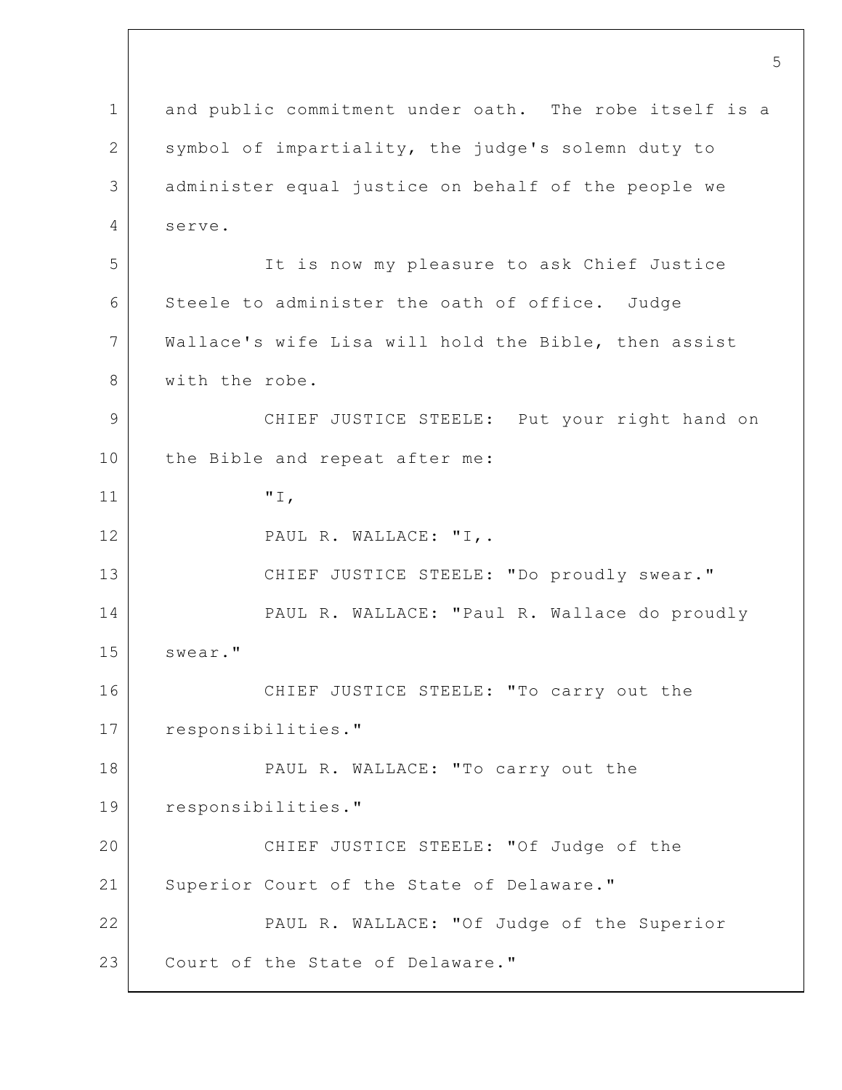1 2 3 4 5 6 7 8 9 10 11 12 13 14 15 16 17 18 19 20 21 22 23 and public commitment under oath. The robe itself is a symbol of impartiality, the judge's solemn duty to administer equal justice on behalf of the people we serve. It is now my pleasure to ask Chief Justice Steele to administer the oath of office. Judge Wallace's wife Lisa will hold the Bible, then assist with the robe. CHIEF JUSTICE STEELE: Put your right hand on the Bible and repeat after me: "I, PAUL R. WALLACE: "I,. CHIEF JUSTICE STEELE: "Do proudly swear." PAUL R. WALLACE: "Paul R. Wallace do proudly swear." CHIEF JUSTICE STEELE: "To carry out the responsibilities." PAUL R. WALLACE: "To carry out the responsibilities." CHIEF JUSTICE STEELE: "Of Judge of the Superior Court of the State of Delaware." PAUL R. WALLACE: "Of Judge of the Superior Court of the State of Delaware."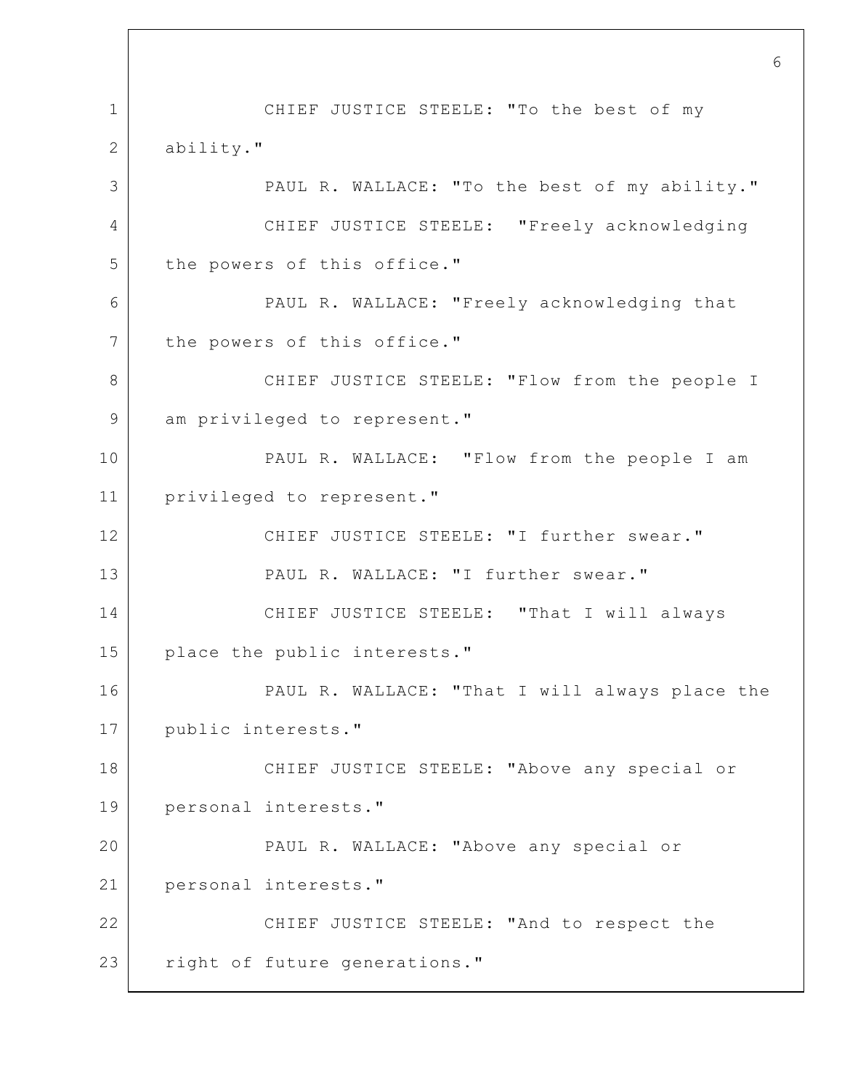1 2 3 4 5 6 7 8 9 10 11 12 13 14 15 16 17 18 19 20 21 22 23 CHIEF JUSTICE STEELE: "To the best of my ability." PAUL R. WALLACE: "To the best of my ability." CHIEF JUSTICE STEELE: "Freely acknowledging the powers of this office." PAUL R. WALLACE: "Freely acknowledging that the powers of this office." CHIEF JUSTICE STEELE: "Flow from the people I am privileged to represent." PAUL R. WALLACE: "Flow from the people I am privileged to represent." CHIEF JUSTICE STEELE: "I further swear." PAUL R. WALLACE: "I further swear." CHIEF JUSTICE STEELE: "That I will always place the public interests." PAUL R. WALLACE: "That I will always place the public interests." CHIEF JUSTICE STEELE: "Above any special or personal interests." PAUL R. WALLACE: "Above any special or personal interests." CHIEF JUSTICE STEELE: "And to respect the right of future generations."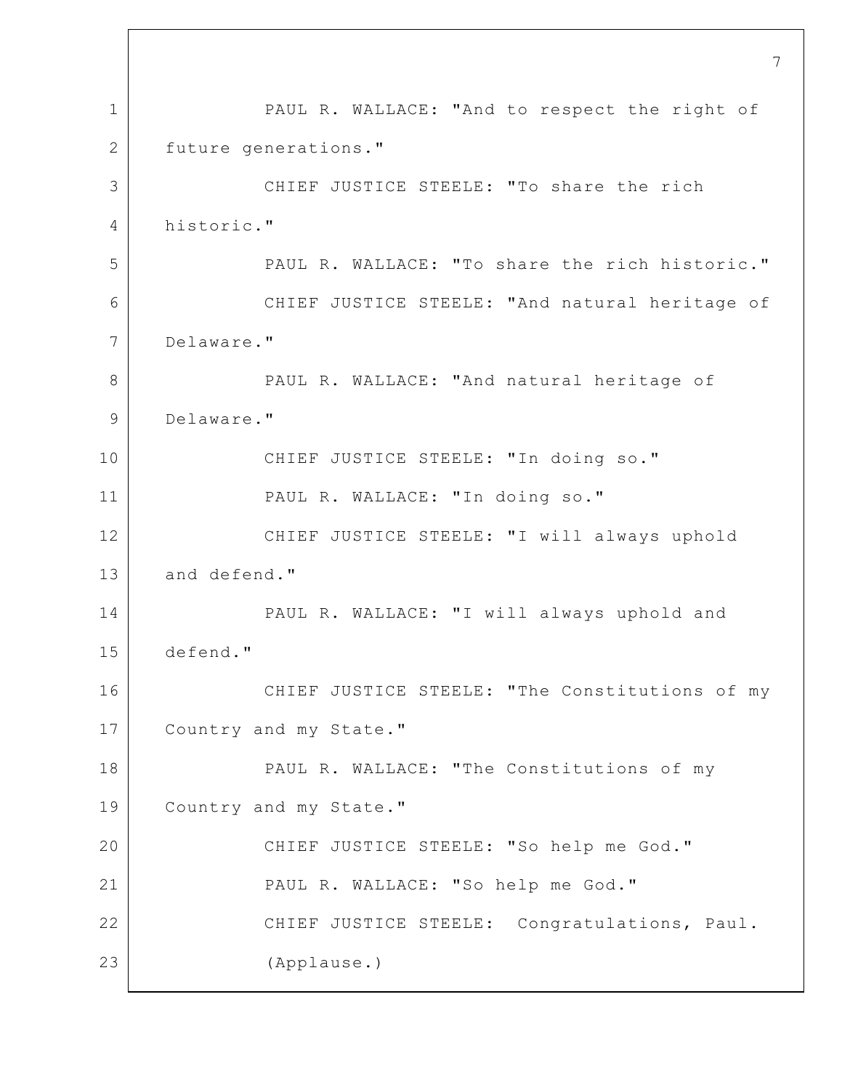1 2 3 4 5 6 7 8 9 10 11 12 13 14 15 16 17 18 19 20 21 22 23 7 PAUL R. WALLACE: "And to respect the right of future generations." CHIEF JUSTICE STEELE: "To share the rich historic." PAUL R. WALLACE: "To share the rich historic." CHIEF JUSTICE STEELE: "And natural heritage of Delaware." PAUL R. WALLACE: "And natural heritage of Delaware." CHIEF JUSTICE STEELE: "In doing so." PAUL R. WALLACE: "In doing so." CHIEF JUSTICE STEELE: "I will always uphold and defend." PAUL R. WALLACE: "I will always uphold and defend." CHIEF JUSTICE STEELE: "The Constitutions of my Country and my State." PAUL R. WALLACE: "The Constitutions of my Country and my State." CHIEF JUSTICE STEELE: "So help me God." PAUL R. WALLACE: "So help me God." CHIEF JUSTICE STEELE: Congratulations, Paul. (Applause.)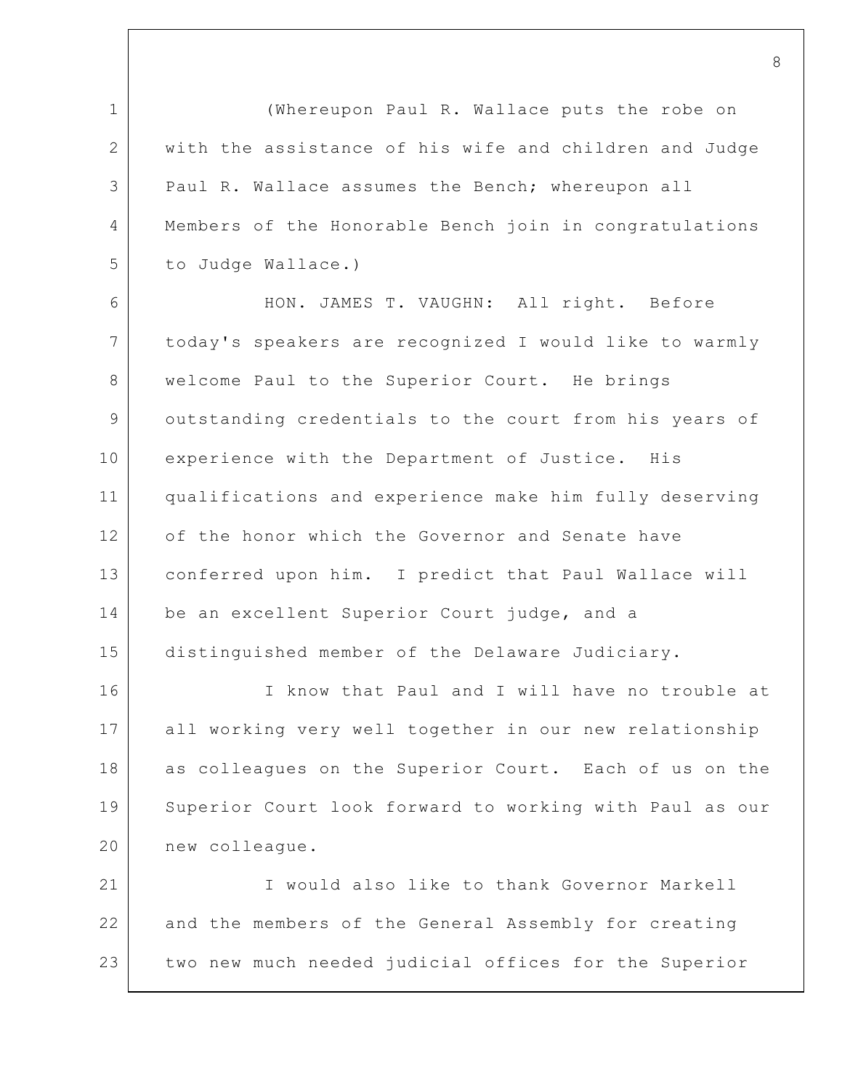1 2 3 4 5 6 7 8 9 10 11 12 13 14 15 16 17 18 19 20 21 22 23 (Whereupon Paul R. Wallace puts the robe on with the assistance of his wife and children and Judge Paul R. Wallace assumes the Bench; whereupon all Members of the Honorable Bench join in congratulations to Judge Wallace.) HON. JAMES T. VAUGHN: All right. Before today's speakers are recognized I would like to warmly welcome Paul to the Superior Court. He brings outstanding credentials to the court from his years of experience with the Department of Justice. His qualifications and experience make him fully deserving of the honor which the Governor and Senate have conferred upon him. I predict that Paul Wallace will be an excellent Superior Court judge, and a distinguished member of the Delaware Judiciary. I know that Paul and I will have no trouble at all working very well together in our new relationship as colleagues on the Superior Court. Each of us on the Superior Court look forward to working with Paul as our new colleague. I would also like to thank Governor Markell and the members of the General Assembly for creating two new much needed judicial offices for the Superior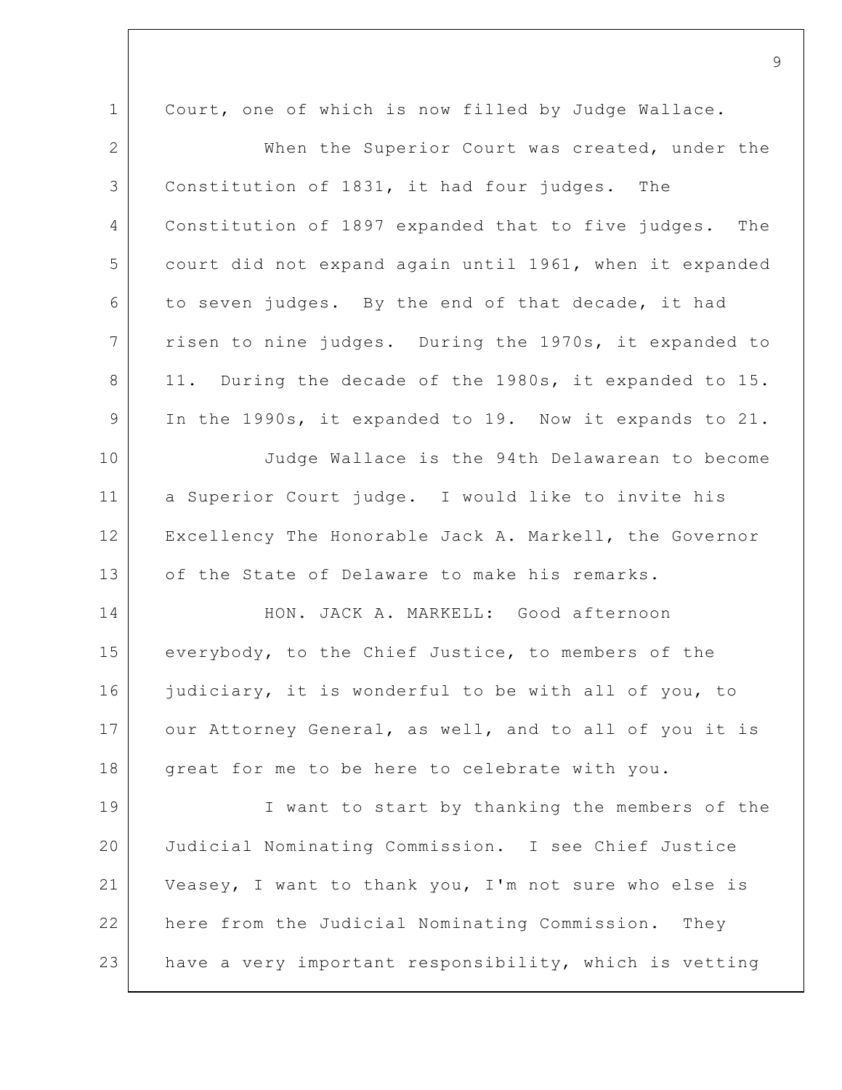1 2 3 4 5 6 7 8 9 10 11 12 13 14 15 16 17 18 19 20 21 22 Court, one of which is now filled by Judge Wallace. When the Superior Court was created, under the Constitution of 1831, it had four judges. The Constitution of 1897 expanded that to five judges. The court did not expand again until 1961, when it expanded to seven judges. By the end of that decade, it had risen to nine judges. During the 1970s, it expanded to 11. During the decade of the 1980s, it expanded to 15. In the 1990s, it expanded to 19. Now it expands to 21. Judge Wallace is the 94th Delawarean to become a Superior Court judge. I would like to invite his Excellency The Honorable Jack A. Markell, the Governor of the State of Delaware to make his remarks. HON. JACK A. MARKELL: Good afternoon everybody, to the Chief Justice, to members of the judiciary, it is wonderful to be with all of you, to our Attorney General, as well, and to all of you it is great for me to be here to celebrate with you. I want to start by thanking the members of the Judicial Nominating Commission. I see Chief Justice Veasey, I want to thank you, I'm not sure who else is here from the Judicial Nominating Commission. They

have a very important responsibility, which is vetting

23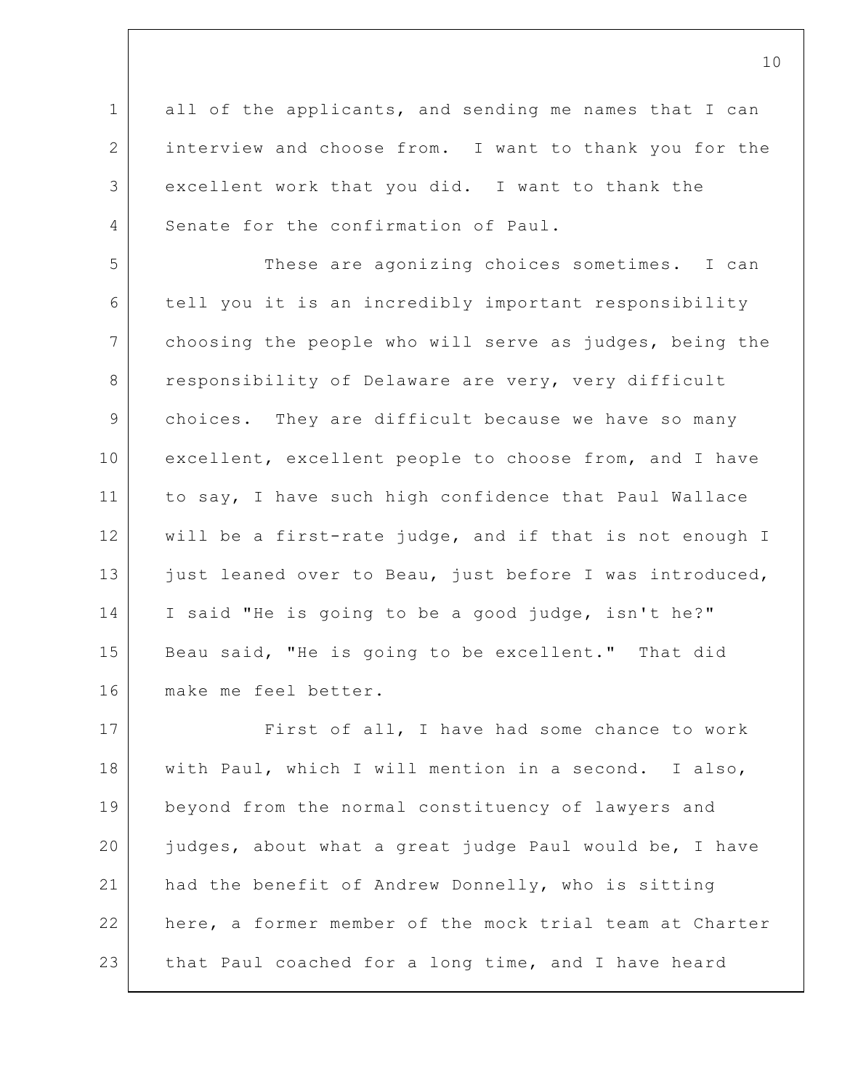1 2 3 4 all of the applicants, and sending me names that I can interview and choose from. I want to thank you for the excellent work that you did. I want to thank the Senate for the confirmation of Paul.

5 6 7 8 9 10 11 12 13 14 15 16 These are agonizing choices sometimes. I can tell you it is an incredibly important responsibility choosing the people who will serve as judges, being the responsibility of Delaware are very, very difficult choices. They are difficult because we have so many excellent, excellent people to choose from, and I have to say, I have such high confidence that Paul Wallace will be a first-rate judge, and if that is not enough I just leaned over to Beau, just before I was introduced, I said "He is going to be a good judge, isn't he?" Beau said, "He is going to be excellent." That did make me feel better.

17 18 19 20 21 22 23 First of all, I have had some chance to work with Paul, which I will mention in a second. I also, beyond from the normal constituency of lawyers and judges, about what a great judge Paul would be, I have had the benefit of Andrew Donnelly, who is sitting here, a former member of the mock trial team at Charter that Paul coached for a long time, and I have heard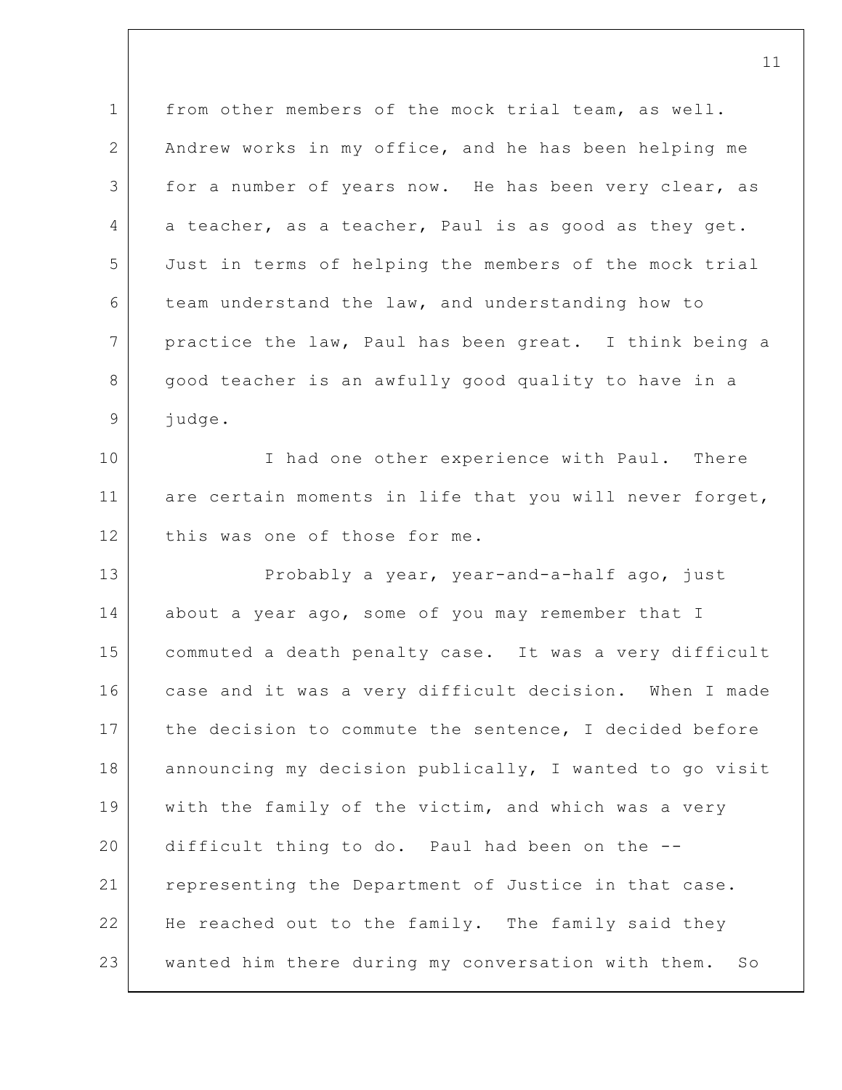1 2 3 4 5 6 7 8 9 10 11 12 13 14 15 16 17 18 19 20 21 22 23 from other members of the mock trial team, as well. Andrew works in my office, and he has been helping me for a number of years now. He has been very clear, as a teacher, as a teacher, Paul is as good as they get. Just in terms of helping the members of the mock trial team understand the law, and understanding how to practice the law, Paul has been great. I think being a good teacher is an awfully good quality to have in a judge. I had one other experience with Paul. There are certain moments in life that you will never forget, this was one of those for me. Probably a year, year-and-a-half ago, just about a year ago, some of you may remember that I commuted a death penalty case. It was a very difficult case and it was a very difficult decision. When I made the decision to commute the sentence, I decided before announcing my decision publically, I wanted to go visit with the family of the victim, and which was a very difficult thing to do. Paul had been on the - representing the Department of Justice in that case. He reached out to the family. The family said they wanted him there during my conversation with them. So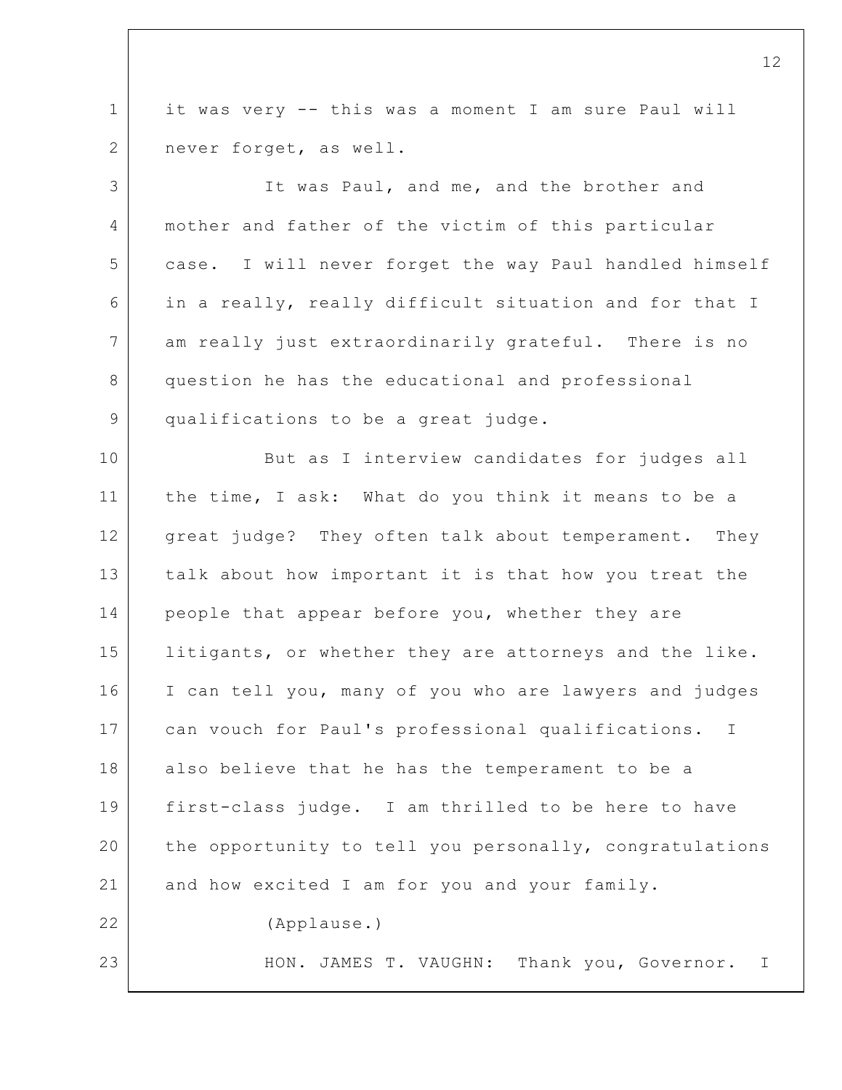1 2 it was very -- this was a moment I am sure Paul will never forget, as well.

3 4 5 6 7 8 9 It was Paul, and me, and the brother and mother and father of the victim of this particular case. I will never forget the way Paul handled himself in a really, really difficult situation and for that I am really just extraordinarily grateful. There is no question he has the educational and professional qualifications to be a great judge.

10 11 12 13 14 15 16 17 18 19 20 21 22 23 But as I interview candidates for judges all the time, I ask: What do you think it means to be a great judge? They often talk about temperament. They talk about how important it is that how you treat the people that appear before you, whether they are litigants, or whether they are attorneys and the like. I can tell you, many of you who are lawyers and judges can vouch for Paul's professional qualifications. I also believe that he has the temperament to be a first-class judge. I am thrilled to be here to have the opportunity to tell you personally, congratulations and how excited I am for you and your family. (Applause.) HON. JAMES T. VAUGHN: Thank you, Governor. I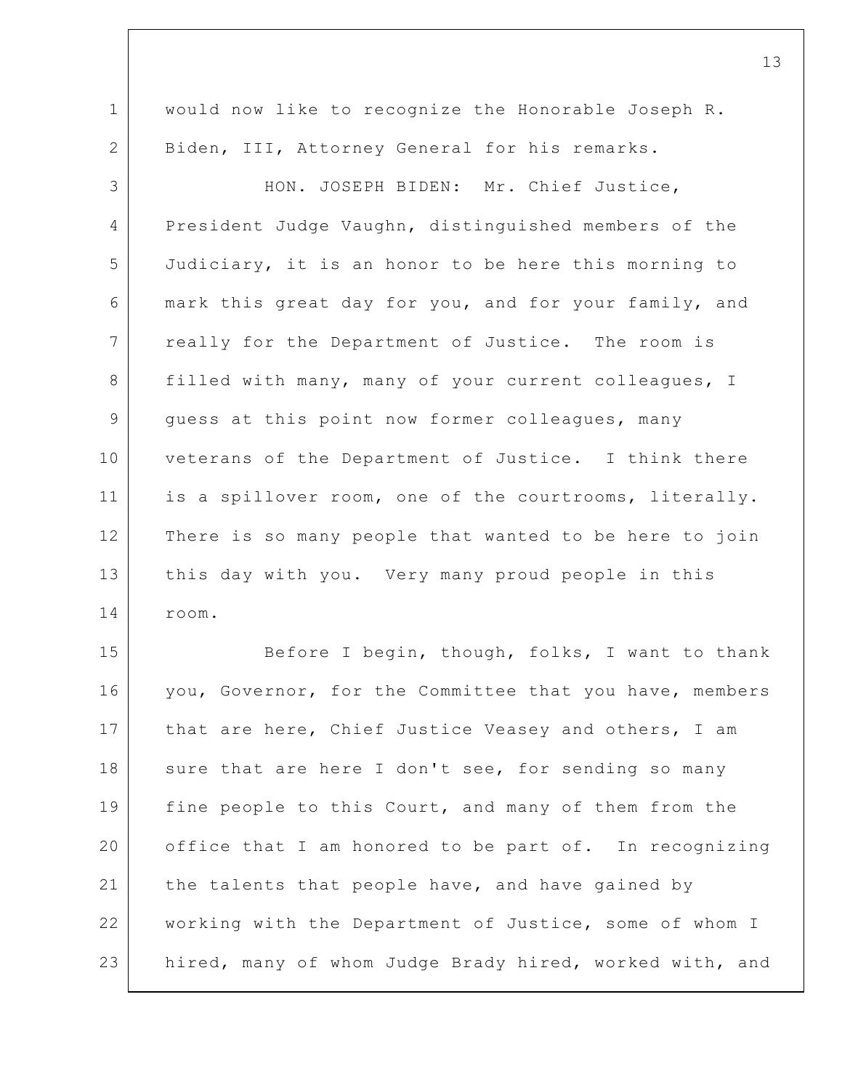1 2 3 4 5 6 7 8 9 10 11 12 13 14 15 16 17 would now like to recognize the Honorable Joseph R. Biden, III, Attorney General for his remarks. HON. JOSEPH BIDEN: Mr. Chief Justice, President Judge Vaughn, distinguished members of the Judiciary, it is an honor to be here this morning to mark this great day for you, and for your family, and really for the Department of Justice. The room is filled with many, many of your current colleagues, I guess at this point now former colleagues, many veterans of the Department of Justice. I think there is a spillover room, one of the courtrooms, literally. There is so many people that wanted to be here to join this day with you. Very many proud people in this room. Before I begin, though, folks, I want to thank you, Governor, for the Committee that you have, members that are here, Chief Justice Veasey and others, I am

18 19 20 21 22 23 sure that are here I don't see, for sending so many fine people to this Court, and many of them from the office that I am honored to be part of. In recognizing the talents that people have, and have gained by working with the Department of Justice, some of whom I hired, many of whom Judge Brady hired, worked with, and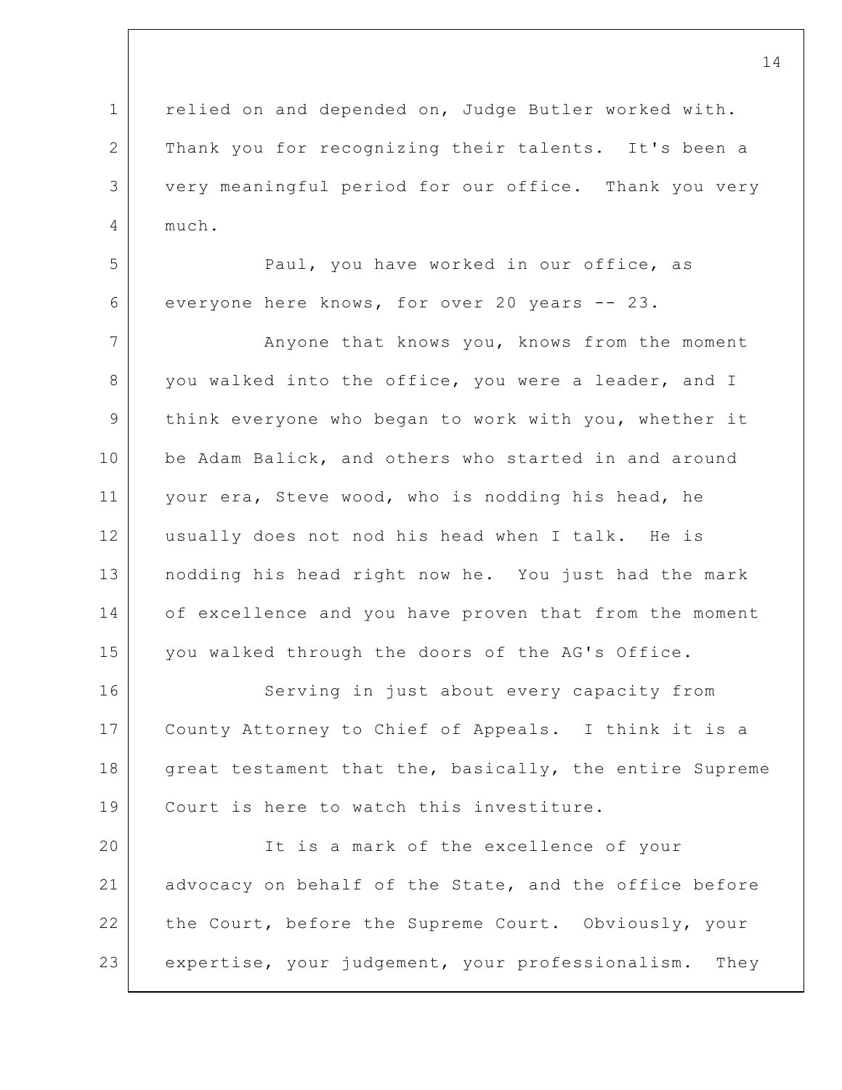1 2 3 4 relied on and depended on, Judge Butler worked with. Thank you for recognizing their talents. It's been a very meaningful period for our office. Thank you very much.

5 6 Paul, you have worked in our office, as everyone here knows, for over 20 years -- 23.

7 8 9 10 11 12 13 14 15 Anyone that knows you, knows from the moment you walked into the office, you were a leader, and I think everyone who began to work with you, whether it be Adam Balick, and others who started in and around your era, Steve wood, who is nodding his head, he usually does not nod his head when I talk. He is nodding his head right now he. You just had the mark of excellence and you have proven that from the moment you walked through the doors of the AG's Office.

16 17 18 19 Serving in just about every capacity from County Attorney to Chief of Appeals. I think it is a great testament that the, basically, the entire Supreme Court is here to watch this investiture.

20 21 22 23 It is a mark of the excellence of your advocacy on behalf of the State, and the office before the Court, before the Supreme Court. Obviously, your expertise, your judgement, your professionalism. They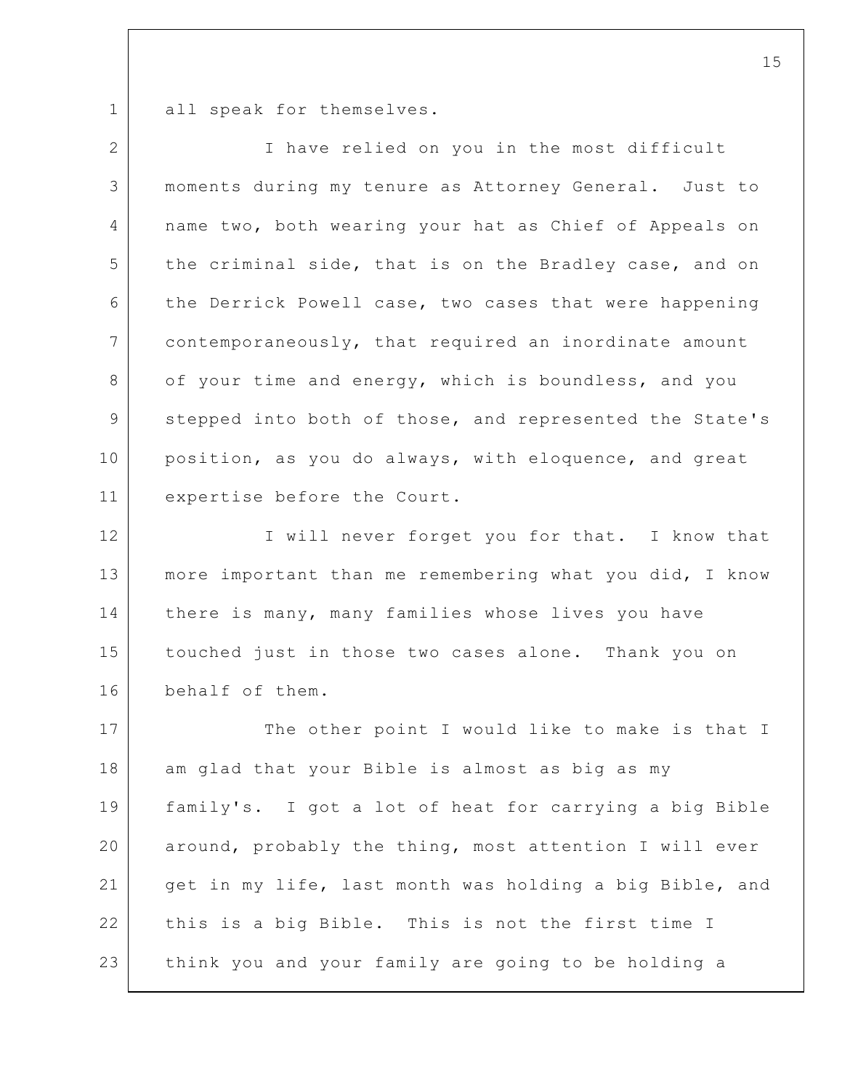1 all speak for themselves.

| $\overline{2}$ | I have relied on you in the most difficult              |
|----------------|---------------------------------------------------------|
| 3              | moments during my tenure as Attorney General. Just to   |
| 4              | name two, both wearing your hat as Chief of Appeals on  |
| 5              | the criminal side, that is on the Bradley case, and on  |
| 6              | the Derrick Powell case, two cases that were happening  |
| $\overline{7}$ | contemporaneously, that required an inordinate amount   |
| 8              | of your time and energy, which is boundless, and you    |
| 9              | stepped into both of those, and represented the State's |
| 10             | position, as you do always, with eloquence, and great   |
| 11             | expertise before the Court.                             |
| 12             | I will never forget you for that. I know that           |
| 13             | more important than me remembering what you did, I know |
| 14             | there is many, many families whose lives you have       |
| 15             | touched just in those two cases alone. Thank you on     |
| 16             | behalf of them.                                         |
| 17             | The other point I would like to make is that I          |
| 18             | am glad that your Bible is almost as big as my          |
| 19             | family's. I got a lot of heat for carrying a big Bible  |
| 20             | around, probably the thing, most attention I will ever  |
| 21             | get in my life, last month was holding a big Bible, and |
| 22             | this is a big Bible. This is not the first time I       |
| 23             | think you and your family are going to be holding a     |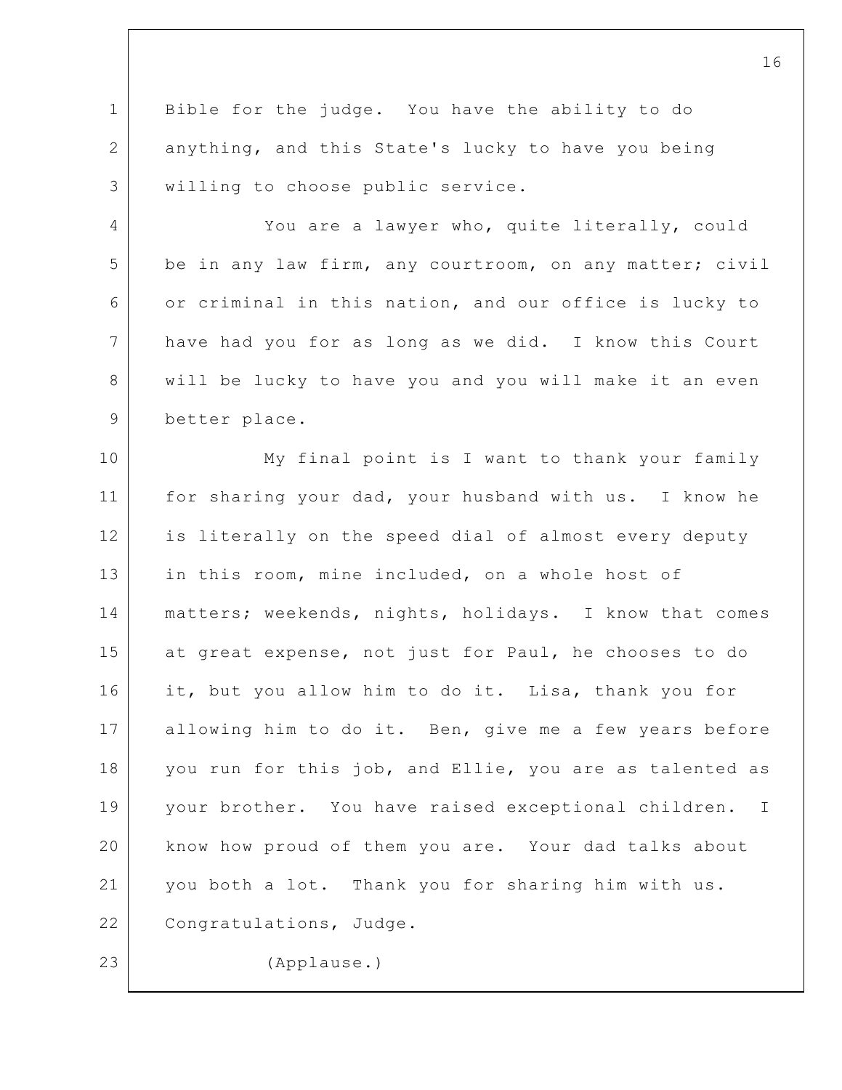1 2 3 Bible for the judge. You have the ability to do anything, and this State's lucky to have you being willing to choose public service.

4 5 6 7 8 9 You are a lawyer who, quite literally, could be in any law firm, any courtroom, on any matter; civil or criminal in this nation, and our office is lucky to have had you for as long as we did. I know this Court will be lucky to have you and you will make it an even better place.

10 11 12 13 14 15 16 17 18 19 20 21 22 23 My final point is I want to thank your family for sharing your dad, your husband with us. I know he is literally on the speed dial of almost every deputy in this room, mine included, on a whole host of matters; weekends, nights, holidays. I know that comes at great expense, not just for Paul, he chooses to do it, but you allow him to do it. Lisa, thank you for allowing him to do it. Ben, give me a few years before you run for this job, and Ellie, you are as talented as your brother. You have raised exceptional children. I know how proud of them you are. Your dad talks about you both a lot. Thank you for sharing him with us. Congratulations, Judge. (Applause.)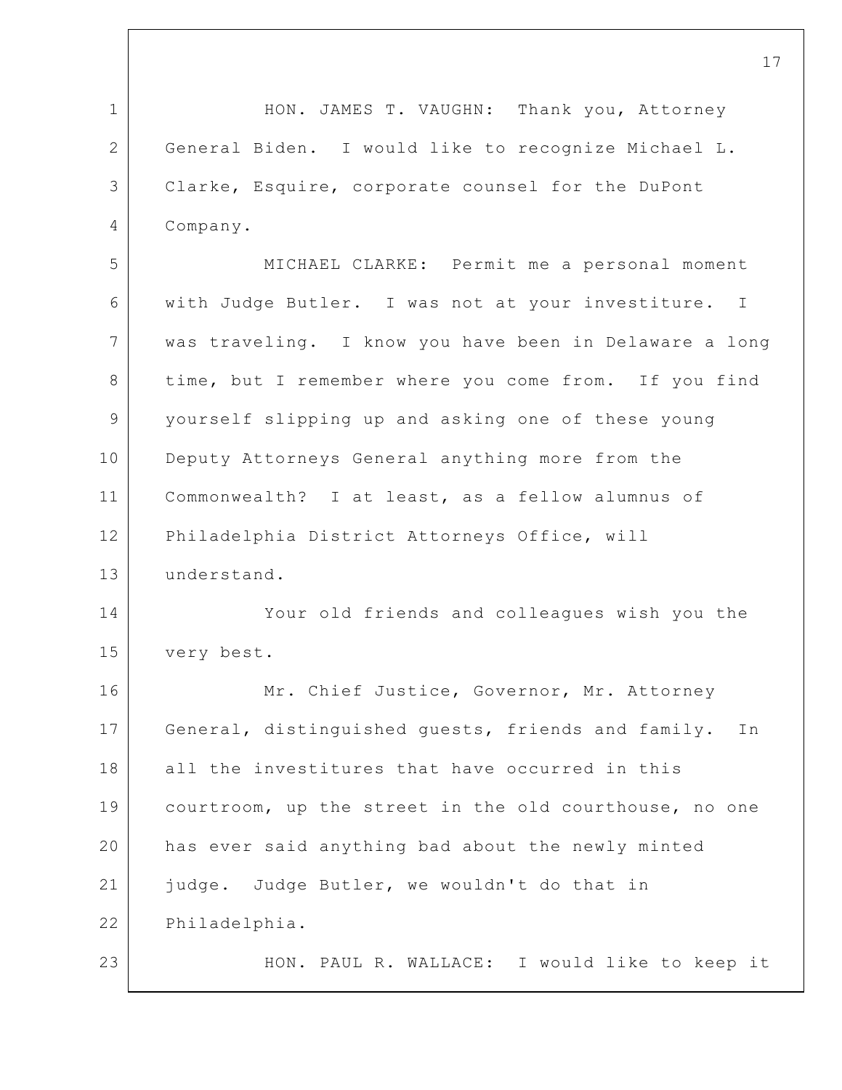1 2 3 4 5 6 7 8 9 10 11 12 13 14 15 16 17 18 19 20 21 22 23 17 HON. JAMES T. VAUGHN: Thank you, Attorney General Biden. I would like to recognize Michael L. Clarke, Esquire, corporate counsel for the DuPont Company. MICHAEL CLARKE: Permit me a personal moment with Judge Butler. I was not at your investiture. I was traveling. I know you have been in Delaware a long time, but I remember where you come from. If you find yourself slipping up and asking one of these young Deputy Attorneys General anything more from the Commonwealth? I at least, as a fellow alumnus of Philadelphia District Attorneys Office, will understand. Your old friends and colleagues wish you the very best. Mr. Chief Justice, Governor, Mr. Attorney General, distinguished guests, friends and family. In all the investitures that have occurred in this courtroom, up the street in the old courthouse, no one has ever said anything bad about the newly minted judge. Judge Butler, we wouldn't do that in Philadelphia. HON. PAUL R. WALLACE: I would like to keep it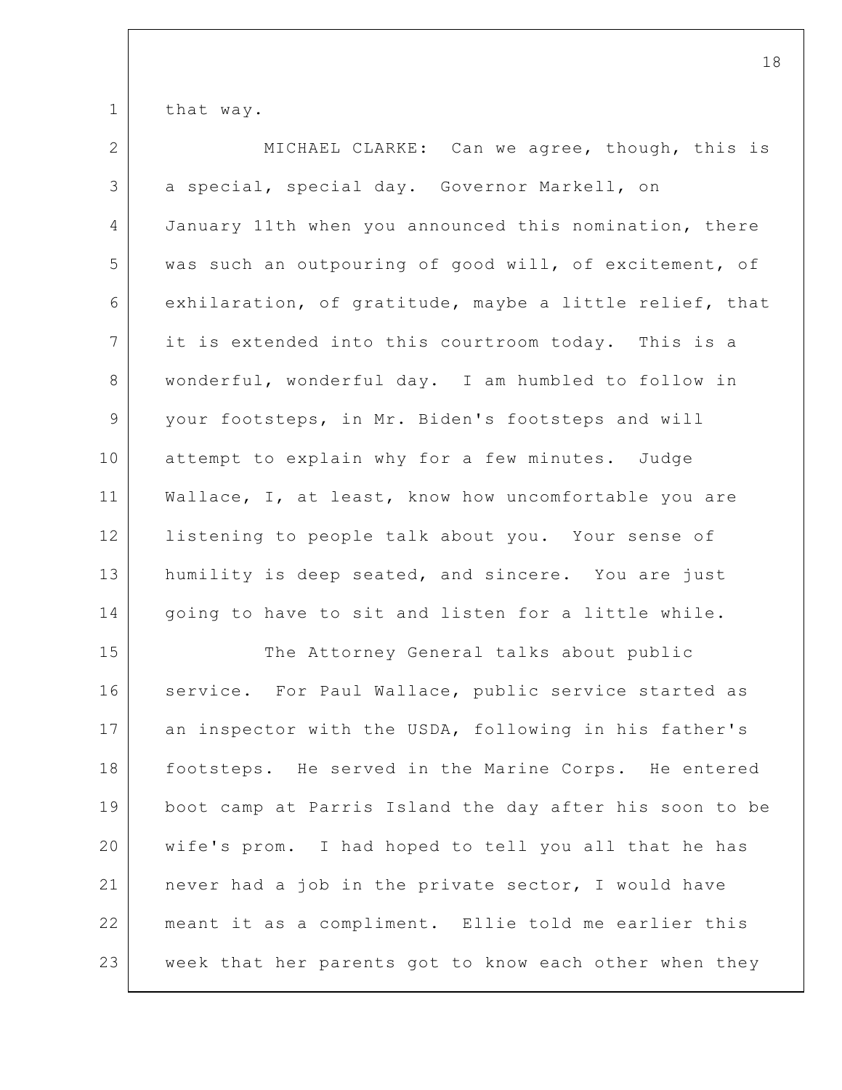1 that way.

2 3 4 5 6 7 8 9 10 11 12 13 14 MICHAEL CLARKE: Can we agree, though, this is a special, special day. Governor Markell, on January 11th when you announced this nomination, there was such an outpouring of good will, of excitement, of exhilaration, of gratitude, maybe a little relief, that it is extended into this courtroom today. This is a wonderful, wonderful day. I am humbled to follow in your footsteps, in Mr. Biden's footsteps and will attempt to explain why for a few minutes. Judge Wallace, I, at least, know how uncomfortable you are listening to people talk about you. Your sense of humility is deep seated, and sincere. You are just going to have to sit and listen for a little while.

15 16 17 18 19 20 21 22 23 The Attorney General talks about public service. For Paul Wallace, public service started as an inspector with the USDA, following in his father's footsteps. He served in the Marine Corps. He entered boot camp at Parris Island the day after his soon to be wife's prom. I had hoped to tell you all that he has never had a job in the private sector, I would have meant it as a compliment. Ellie told me earlier this week that her parents got to know each other when they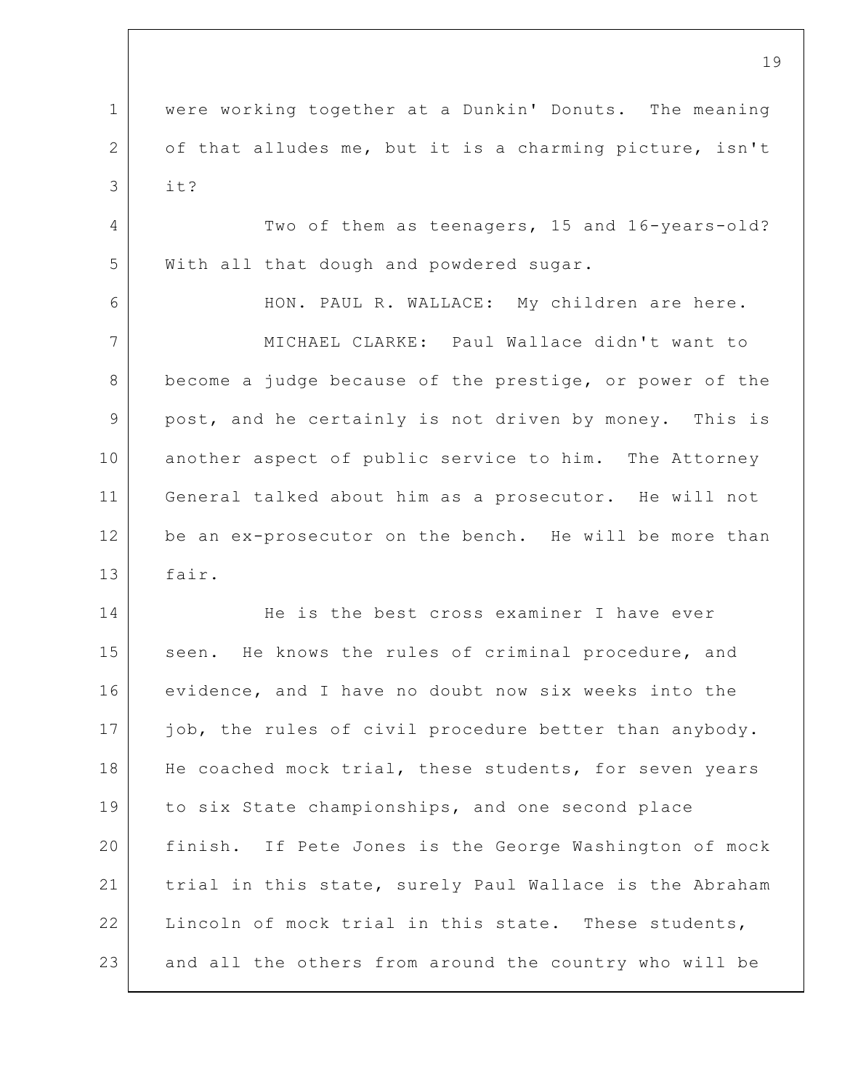1 2 3 4 5 6 7 8 9 10 11 12 13 14 15 16 17 18 19 20 21 22 23 19 were working together at a Dunkin' Donuts. The meaning of that alludes me, but it is a charming picture, isn't it? Two of them as teenagers, 15 and 16-years-old? With all that dough and powdered sugar. HON. PAUL R. WALLACE: My children are here. MICHAEL CLARKE: Paul Wallace didn't want to become a judge because of the prestige, or power of the post, and he certainly is not driven by money. This is another aspect of public service to him. The Attorney General talked about him as a prosecutor. He will not be an ex-prosecutor on the bench. He will be more than fair. He is the best cross examiner I have ever seen. He knows the rules of criminal procedure, and evidence, and I have no doubt now six weeks into the job, the rules of civil procedure better than anybody. He coached mock trial, these students, for seven years to six State championships, and one second place finish. If Pete Jones is the George Washington of mock trial in this state, surely Paul Wallace is the Abraham Lincoln of mock trial in this state. These students, and all the others from around the country who will be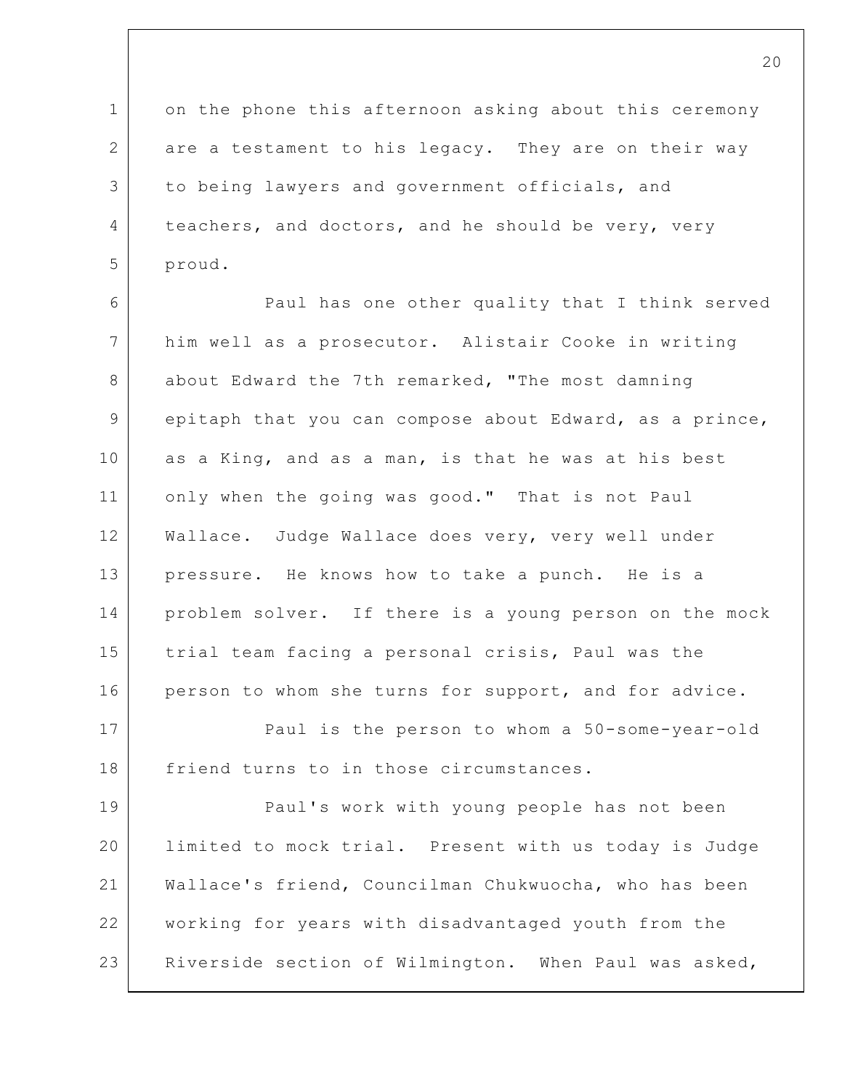1 2 3 4 5 on the phone this afternoon asking about this ceremony are a testament to his legacy. They are on their way to being lawyers and government officials, and teachers, and doctors, and he should be very, very proud.

6 7 8 9 10 11 12 13 14 15 16 17 18 19 20 Paul has one other quality that I think served him well as a prosecutor. Alistair Cooke in writing about Edward the 7th remarked, "The most damning epitaph that you can compose about Edward, as a prince, as a King, and as a man, is that he was at his best only when the going was good." That is not Paul Wallace. Judge Wallace does very, very well under pressure. He knows how to take a punch. He is a problem solver. If there is a young person on the mock trial team facing a personal crisis, Paul was the person to whom she turns for support, and for advice. Paul is the person to whom a 50-some-year-old friend turns to in those circumstances. Paul's work with young people has not been limited to mock trial. Present with us today is Judge

22 23 working for years with disadvantaged youth from the Riverside section of Wilmington. When Paul was asked,

Wallace's friend, Councilman Chukwuocha, who has been

21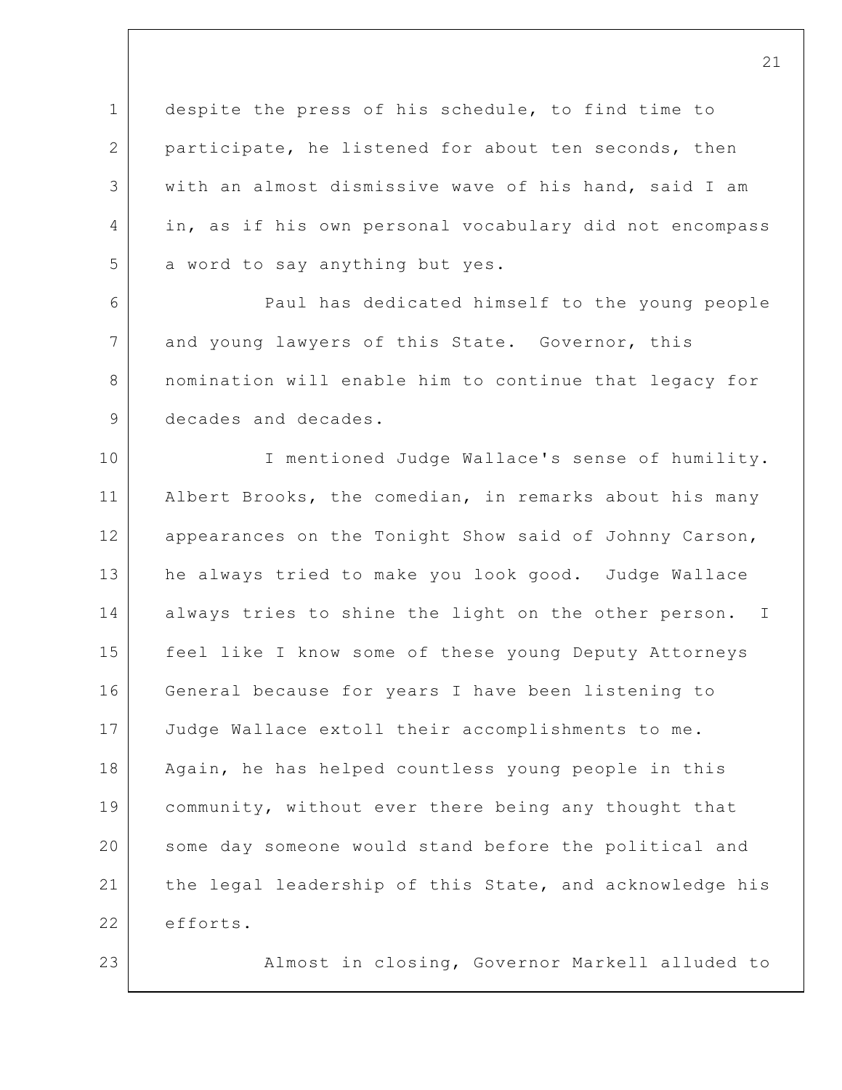1 2 3 4 5 despite the press of his schedule, to find time to participate, he listened for about ten seconds, then with an almost dismissive wave of his hand, said I am in, as if his own personal vocabulary did not encompass a word to say anything but yes.

6 7 8 9 Paul has dedicated himself to the young people and young lawyers of this State. Governor, this nomination will enable him to continue that legacy for decades and decades.

10 11 12 13 14 15 16 17 18 19 20 21 22 I mentioned Judge Wallace's sense of humility. Albert Brooks, the comedian, in remarks about his many appearances on the Tonight Show said of Johnny Carson, he always tried to make you look good. Judge Wallace always tries to shine the light on the other person. I feel like I know some of these young Deputy Attorneys General because for years I have been listening to Judge Wallace extoll their accomplishments to me. Again, he has helped countless young people in this community, without ever there being any thought that some day someone would stand before the political and the legal leadership of this State, and acknowledge his efforts.

23

Almost in closing, Governor Markell alluded to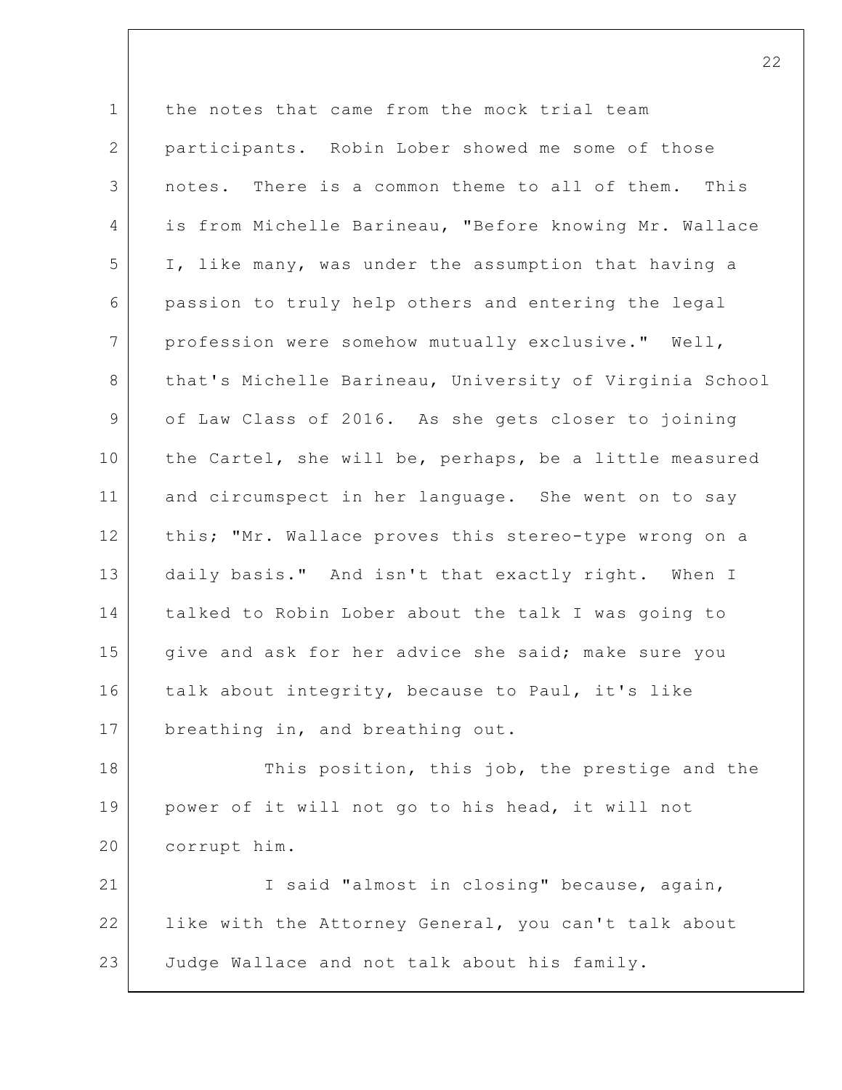1 2 3 4 5 6 7 8 9 10 11 12 13 14 15 16 17 18 19 20 21 22 the notes that came from the mock trial team participants. Robin Lober showed me some of those notes. There is a common theme to all of them. This is from Michelle Barineau, "Before knowing Mr. Wallace I, like many, was under the assumption that having a passion to truly help others and entering the legal profession were somehow mutually exclusive." Well, that's Michelle Barineau, University of Virginia School of Law Class of 2016. As she gets closer to joining the Cartel, she will be, perhaps, be a little measured and circumspect in her language. She went on to say this; "Mr. Wallace proves this stereo-type wrong on a daily basis." And isn't that exactly right. When I talked to Robin Lober about the talk I was going to give and ask for her advice she said; make sure you talk about integrity, because to Paul, it's like breathing in, and breathing out. This position, this job, the prestige and the power of it will not go to his head, it will not corrupt him. I said "almost in closing" because, again, like with the Attorney General, you can't talk about

23 Judge Wallace and not talk about his family.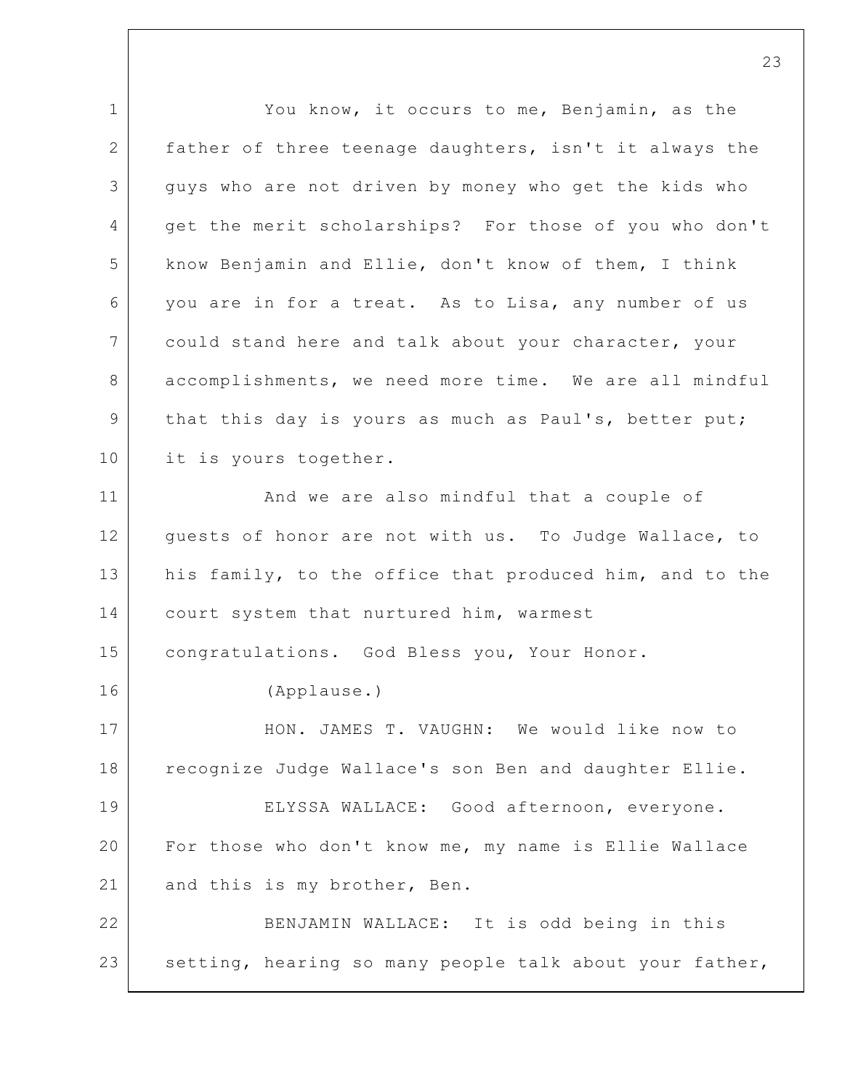1 2 3 4 5 6 7 8 9 10 11 12 13 14 15 16 17 18 19 20 21 22 23 You know, it occurs to me, Benjamin, as the father of three teenage daughters, isn't it always the guys who are not driven by money who get the kids who get the merit scholarships? For those of you who don't know Benjamin and Ellie, don't know of them, I think you are in for a treat. As to Lisa, any number of us could stand here and talk about your character, your accomplishments, we need more time. We are all mindful that this day is yours as much as Paul's, better put; it is yours together. And we are also mindful that a couple of guests of honor are not with us. To Judge Wallace, to his family, to the office that produced him, and to the court system that nurtured him, warmest congratulations. God Bless you, Your Honor. (Applause.) HON. JAMES T. VAUGHN: We would like now to recognize Judge Wallace's son Ben and daughter Ellie. ELYSSA WALLACE: Good afternoon, everyone. For those who don't know me, my name is Ellie Wallace and this is my brother, Ben. BENJAMIN WALLACE: It is odd being in this setting, hearing so many people talk about your father,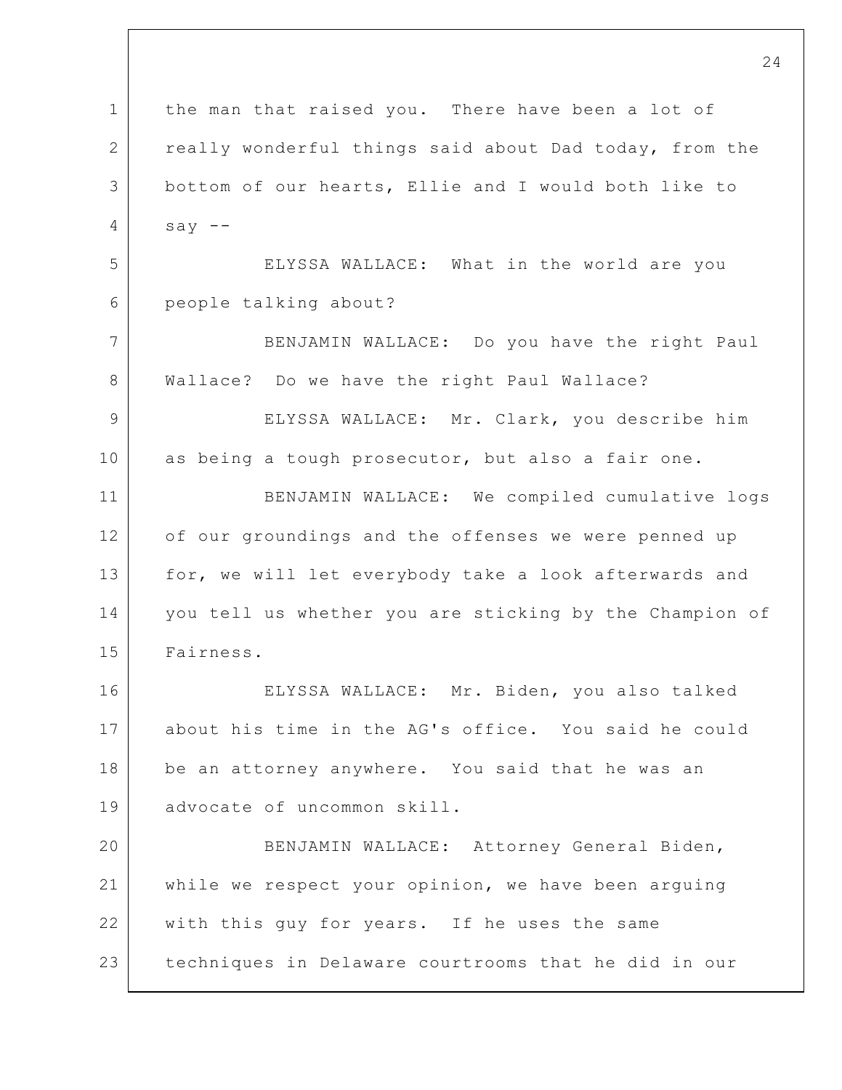1 2 3 4 5 6 7 8 9 10 11 12 13 14 15 16 17 18 19 20 21 22 23 24 the man that raised you. There have been a lot of really wonderful things said about Dad today, from the bottom of our hearts, Ellie and I would both like to say  $--$ ELYSSA WALLACE: What in the world are you people talking about? BENJAMIN WALLACE: Do you have the right Paul Wallace? Do we have the right Paul Wallace? ELYSSA WALLACE: Mr. Clark, you describe him as being a tough prosecutor, but also a fair one. BENJAMIN WALLACE: We compiled cumulative logs of our groundings and the offenses we were penned up for, we will let everybody take a look afterwards and you tell us whether you are sticking by the Champion of Fairness. ELYSSA WALLACE: Mr. Biden, you also talked about his time in the AG's office. You said he could be an attorney anywhere. You said that he was an advocate of uncommon skill. BENJAMIN WALLACE: Attorney General Biden, while we respect your opinion, we have been arguing with this guy for years. If he uses the same techniques in Delaware courtrooms that he did in our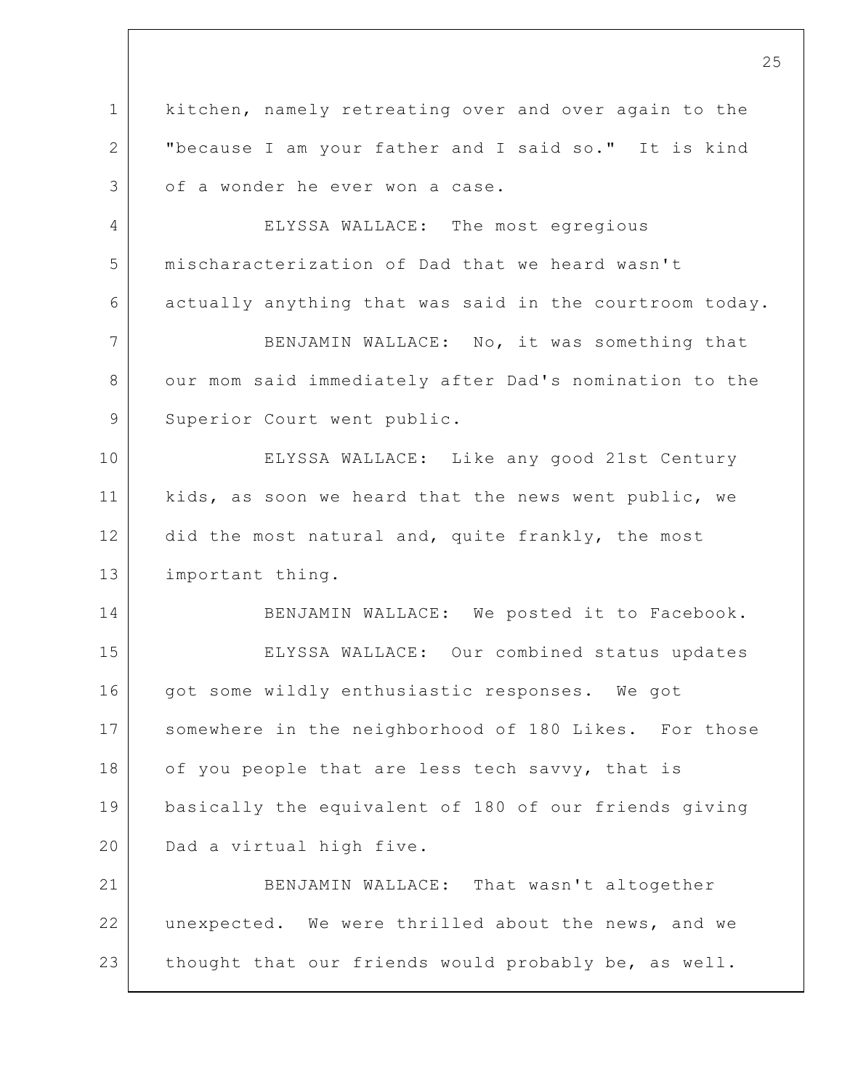1 2 3 4 5 6 7 8 9 10 11 12 13 14 15 16 17 18 19 20 21 22 23 25 kitchen, namely retreating over and over again to the "because I am your father and I said so." It is kind of a wonder he ever won a case. ELYSSA WALLACE: The most egregious mischaracterization of Dad that we heard wasn't actually anything that was said in the courtroom today. BENJAMIN WALLACE: No, it was something that our mom said immediately after Dad's nomination to the Superior Court went public. ELYSSA WALLACE: Like any good 21st Century kids, as soon we heard that the news went public, we did the most natural and, quite frankly, the most important thing. BENJAMIN WALLACE: We posted it to Facebook. ELYSSA WALLACE: Our combined status updates got some wildly enthusiastic responses. We got somewhere in the neighborhood of 180 Likes. For those of you people that are less tech savvy, that is basically the equivalent of 180 of our friends giving Dad a virtual high five. BENJAMIN WALLACE: That wasn't altogether unexpected. We were thrilled about the news, and we thought that our friends would probably be, as well.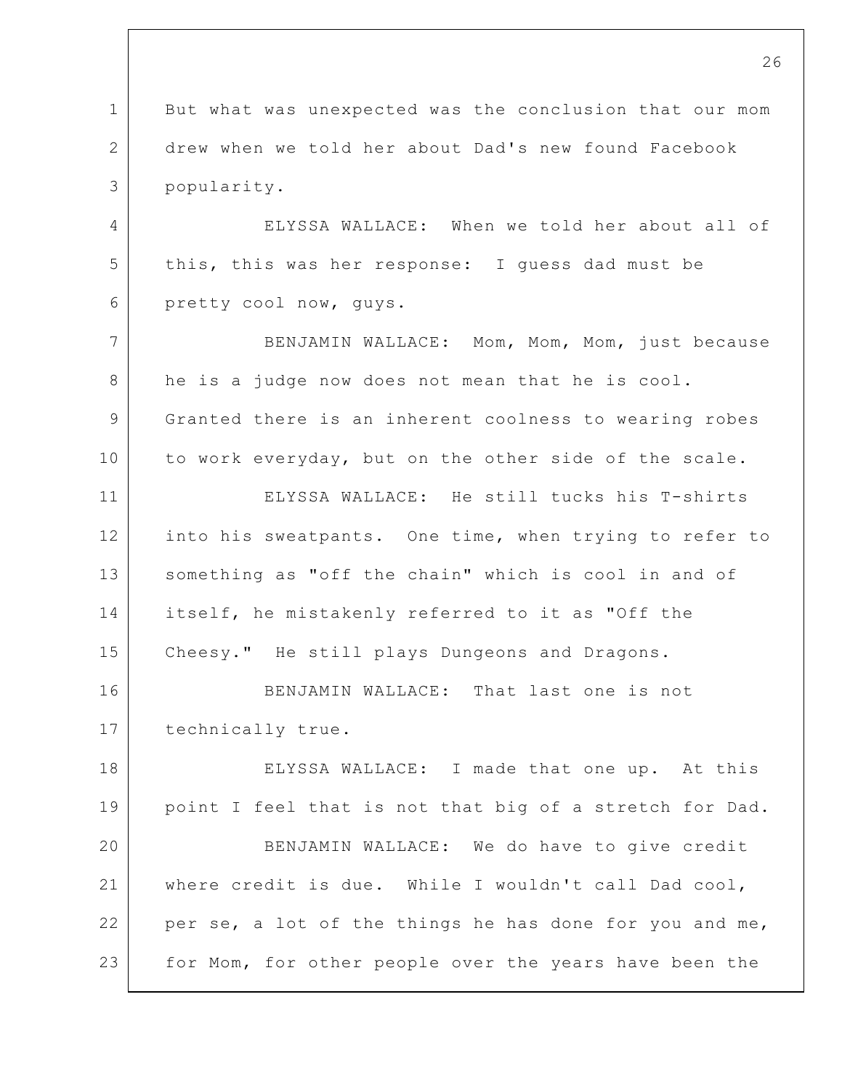1 2 3 4 5 6 7 8 9 10 11 12 13 14 15 16 17 18 19 20 21 22 23 But what was unexpected was the conclusion that our mom drew when we told her about Dad's new found Facebook popularity. ELYSSA WALLACE: When we told her about all of this, this was her response: I guess dad must be pretty cool now, guys. BENJAMIN WALLACE: Mom, Mom, Mom, just because he is a judge now does not mean that he is cool. Granted there is an inherent coolness to wearing robes to work everyday, but on the other side of the scale. ELYSSA WALLACE: He still tucks his T-shirts into his sweatpants. One time, when trying to refer to something as "off the chain" which is cool in and of itself, he mistakenly referred to it as "Off the Cheesy." He still plays Dungeons and Dragons. BENJAMIN WALLACE: That last one is not technically true. ELYSSA WALLACE: I made that one up. At this point I feel that is not that big of a stretch for Dad. BENJAMIN WALLACE: We do have to give credit where credit is due. While I wouldn't call Dad cool, per se, a lot of the things he has done for you and me, for Mom, for other people over the years have been the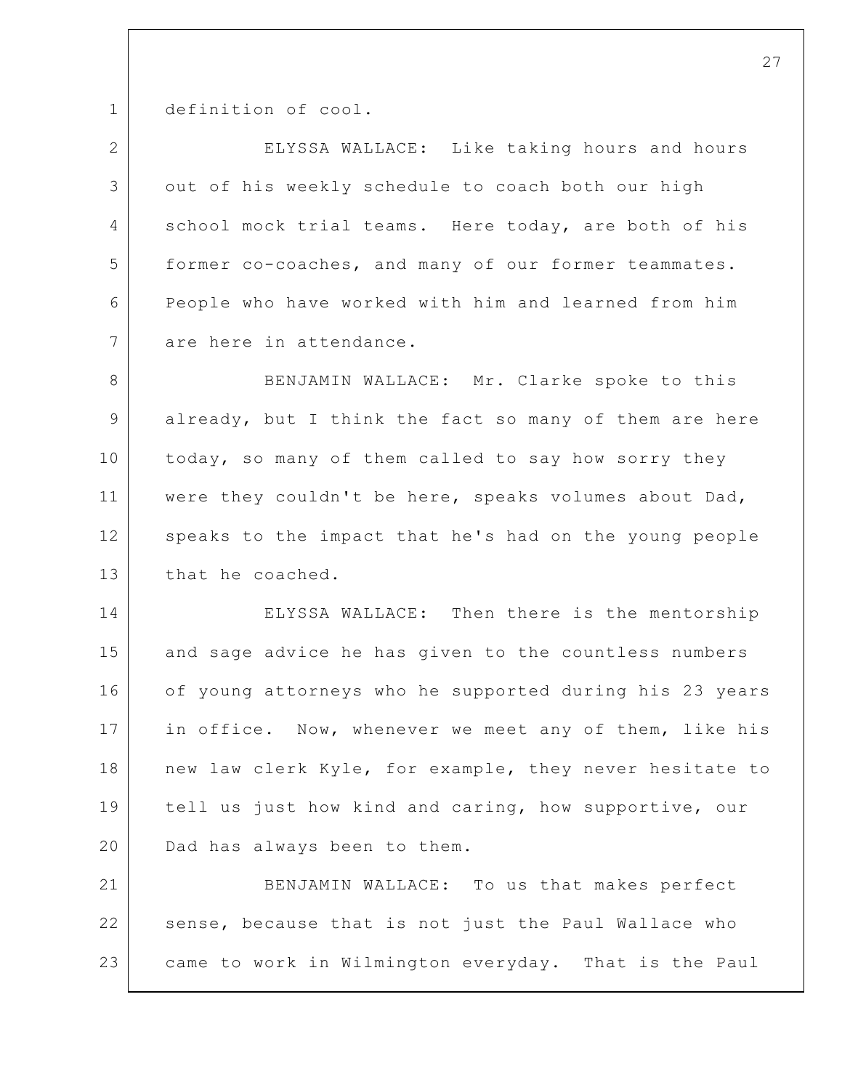1 definition of cool.

| 2               | ELYSSA WALLACE: Like taking hours and hours             |
|-----------------|---------------------------------------------------------|
| 3               | out of his weekly schedule to coach both our high       |
| 4               | school mock trial teams. Here today, are both of his    |
| 5               | former co-coaches, and many of our former teammates.    |
| 6               | People who have worked with him and learned from him    |
| $7\phantom{.0}$ | are here in attendance.                                 |
| 8               | BENJAMIN WALLACE: Mr. Clarke spoke to this              |
| 9               | already, but I think the fact so many of them are here  |
| 10              | today, so many of them called to say how sorry they     |
| 11              | were they couldn't be here, speaks volumes about Dad,   |
| 12              | speaks to the impact that he's had on the young people  |
| 13              | that he coached.                                        |
| 14              | ELYSSA WALLACE: Then there is the mentorship            |
| 15              | and sage advice he has given to the countless numbers   |
| 16              | of young attorneys who he supported during his 23 years |
| 17              | in office. Now, whenever we meet any of them, like his  |
| 18              | new law clerk Kyle, for example, they never hesitate to |
| 19              | tell us just how kind and caring, how supportive, our   |
| 20              | Dad has always been to them.                            |
| 21              | BENJAMIN WALLACE: To us that makes perfect              |
| 22              | sense, because that is not just the Paul Wallace who    |
| 23              | came to work in Wilmington everyday. That is the Paul   |
|                 |                                                         |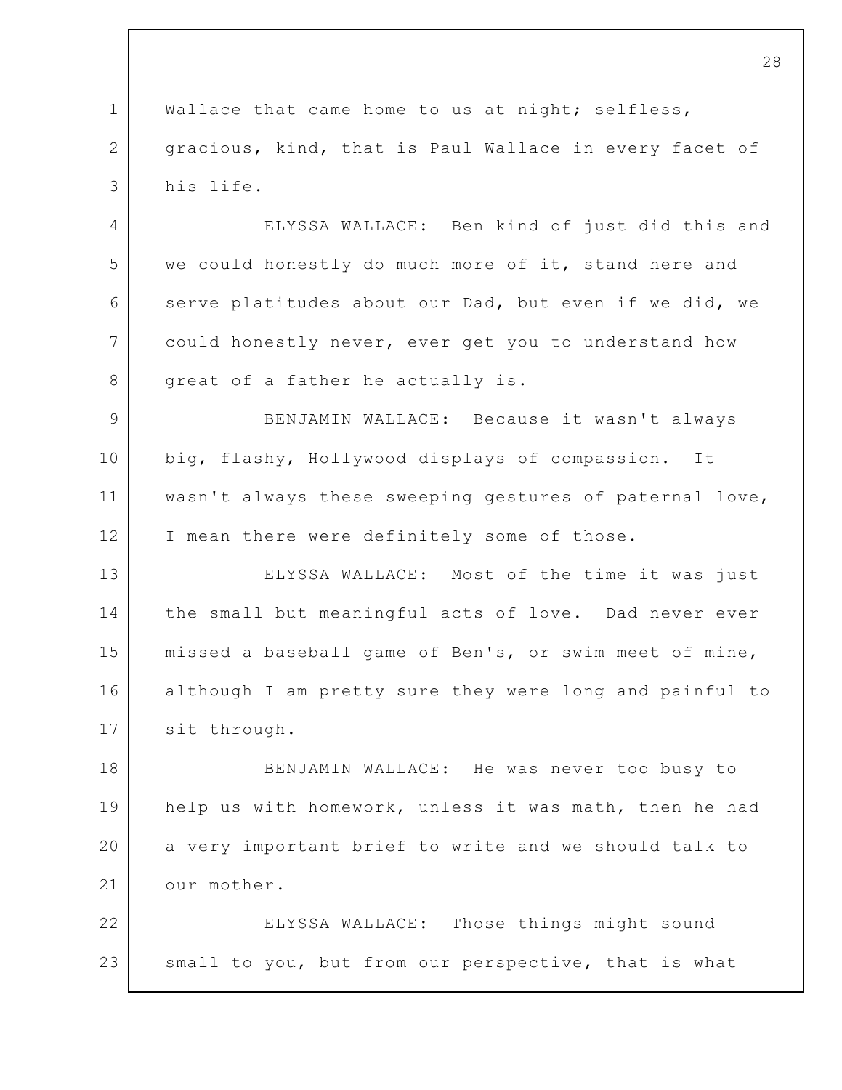1 2 3 Wallace that came home to us at night; selfless, gracious, kind, that is Paul Wallace in every facet of his life.

4 5 6 7 8 ELYSSA WALLACE: Ben kind of just did this and we could honestly do much more of it, stand here and serve platitudes about our Dad, but even if we did, we could honestly never, ever get you to understand how great of a father he actually is.

9 10 11 12 BENJAMIN WALLACE: Because it wasn't always big, flashy, Hollywood displays of compassion. It wasn't always these sweeping gestures of paternal love, I mean there were definitely some of those.

13 14 15 16 17 ELYSSA WALLACE: Most of the time it was just the small but meaningful acts of love. Dad never ever missed a baseball game of Ben's, or swim meet of mine, although I am pretty sure they were long and painful to sit through.

18 19 20 21 BENJAMIN WALLACE: He was never too busy to help us with homework, unless it was math, then he had a very important brief to write and we should talk to our mother.

22 23 ELYSSA WALLACE: Those things might sound small to you, but from our perspective, that is what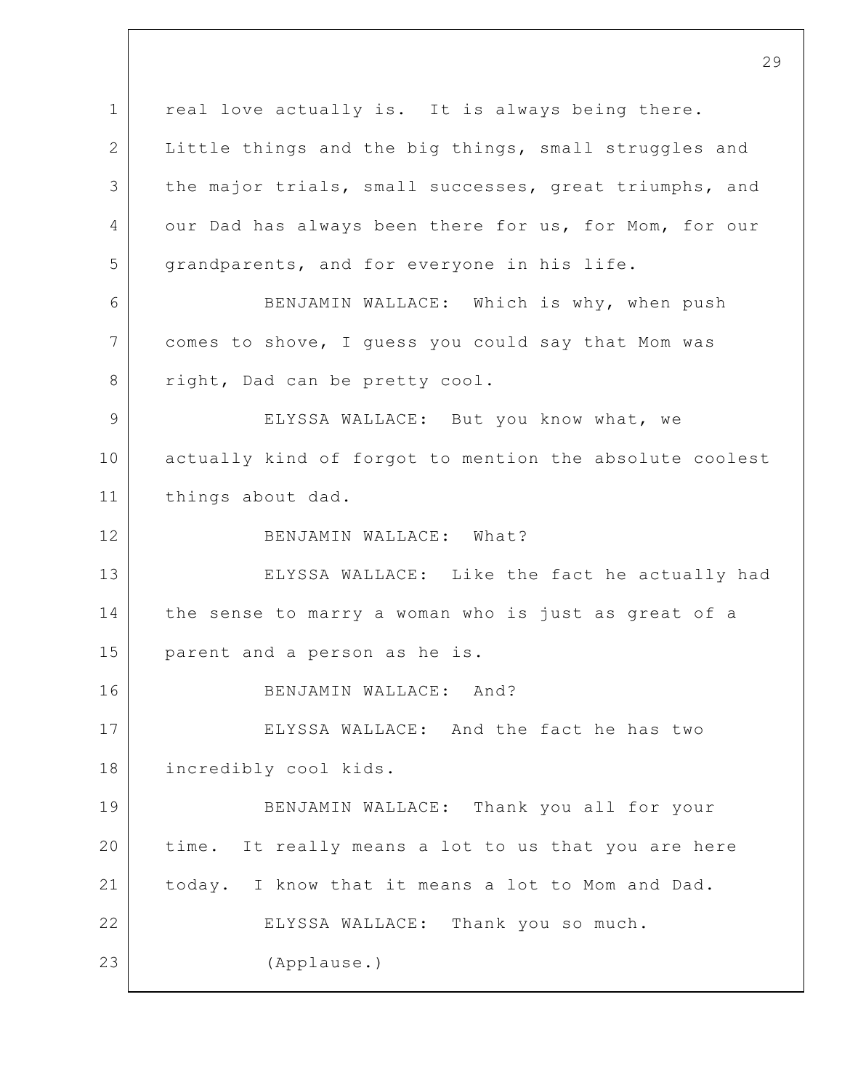1 2 3 4 5 6 7 8 9 10 11 12 13 14 15 16 17 18 19 20 21 22 23 real love actually is. It is always being there. Little things and the big things, small struggles and the major trials, small successes, great triumphs, and our Dad has always been there for us, for Mom, for our grandparents, and for everyone in his life. BENJAMIN WALLACE: Which is why, when push comes to shove, I guess you could say that Mom was right, Dad can be pretty cool. ELYSSA WALLACE: But you know what, we actually kind of forgot to mention the absolute coolest things about dad. BENJAMIN WALLACE: What? ELYSSA WALLACE: Like the fact he actually had the sense to marry a woman who is just as great of a parent and a person as he is. BENJAMIN WALLACE: And? ELYSSA WALLACE: And the fact he has two incredibly cool kids. BENJAMIN WALLACE: Thank you all for your time. It really means a lot to us that you are here today. I know that it means a lot to Mom and Dad. ELYSSA WALLACE: Thank you so much. (Applause.)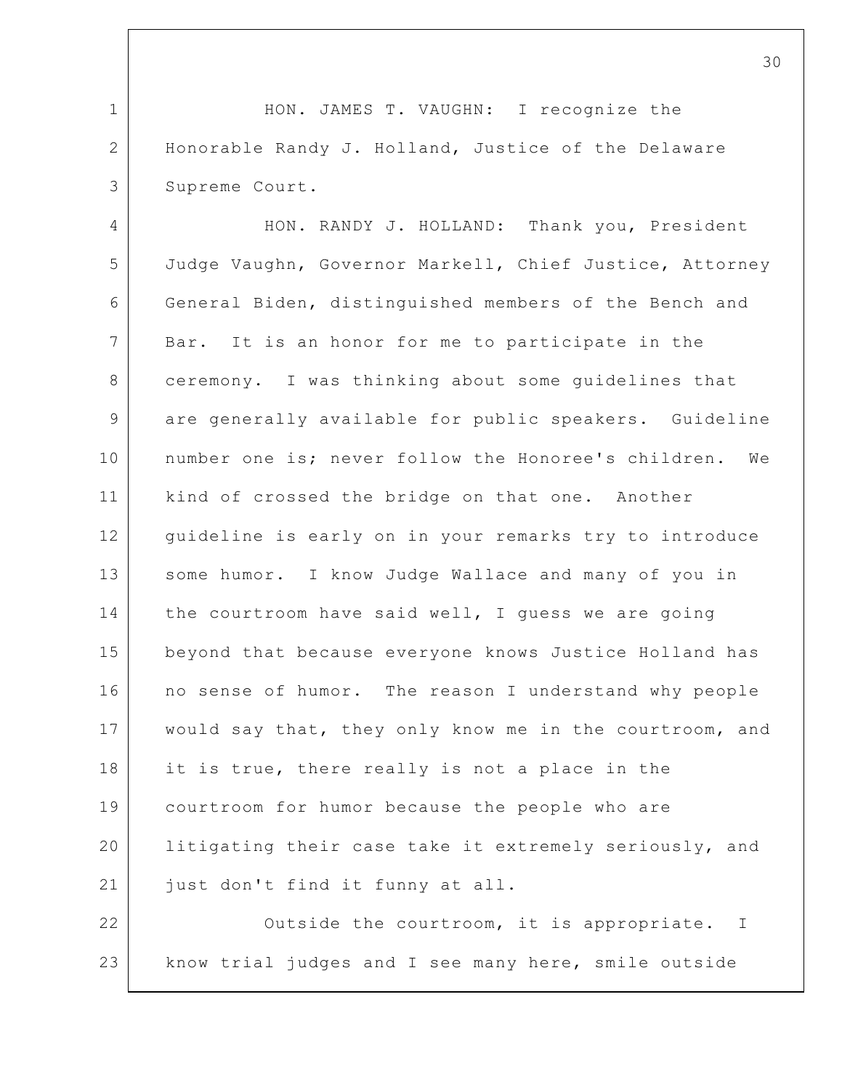1 2 3 HON. JAMES T. VAUGHN: I recognize the Honorable Randy J. Holland, Justice of the Delaware Supreme Court.

4 5 6 7 8 9 10 11 12 13 14 15 16 17 18 19 20 21 HON. RANDY J. HOLLAND: Thank you, President Judge Vaughn, Governor Markell, Chief Justice, Attorney General Biden, distinguished members of the Bench and Bar. It is an honor for me to participate in the ceremony. I was thinking about some guidelines that are generally available for public speakers. Guideline number one is; never follow the Honoree's children. We kind of crossed the bridge on that one. Another guideline is early on in your remarks try to introduce some humor. I know Judge Wallace and many of you in the courtroom have said well, I guess we are going beyond that because everyone knows Justice Holland has no sense of humor. The reason I understand why people would say that, they only know me in the courtroom, and it is true, there really is not a place in the courtroom for humor because the people who are litigating their case take it extremely seriously, and just don't find it funny at all.

22 23 Outside the courtroom, it is appropriate. I know trial judges and I see many here, smile outside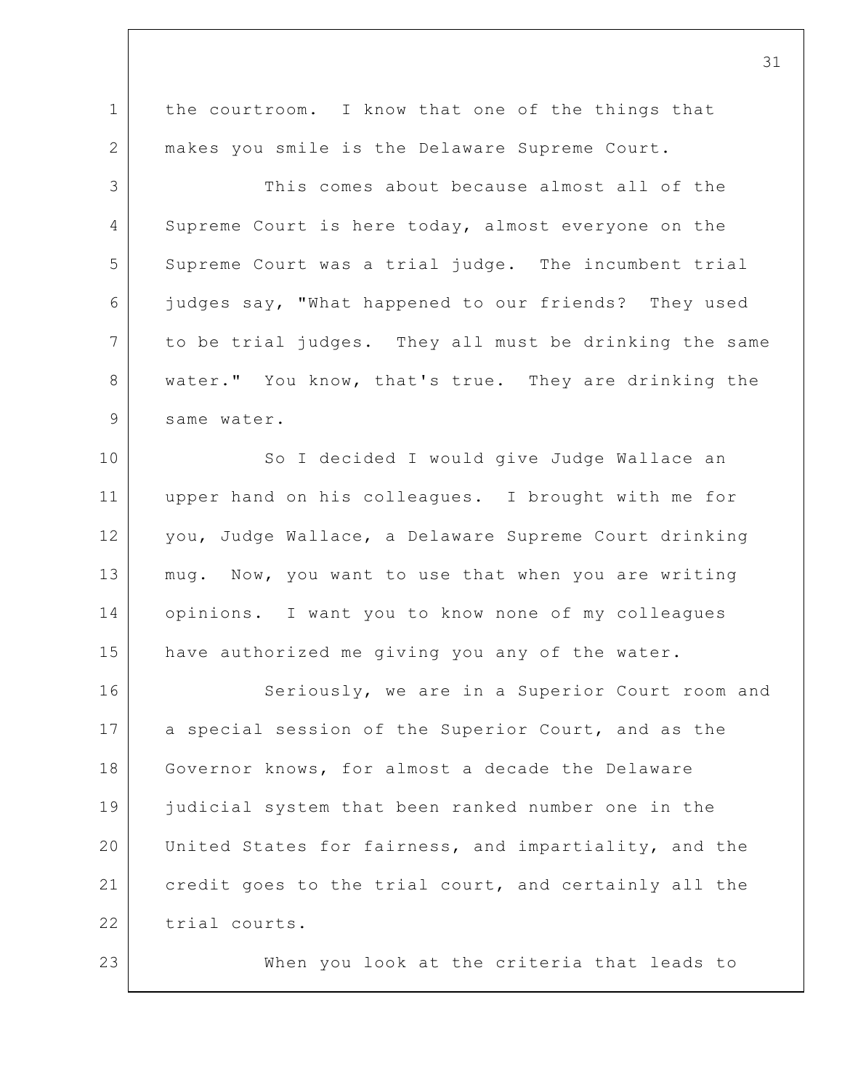1 2 3 4 5 6 7 8 9 10 11 12 13 14 15 16 17 18 19 20 21 22 23 the courtroom. I know that one of the things that makes you smile is the Delaware Supreme Court. This comes about because almost all of the Supreme Court is here today, almost everyone on the Supreme Court was a trial judge. The incumbent trial judges say, "What happened to our friends? They used to be trial judges. They all must be drinking the same water." You know, that's true. They are drinking the same water. So I decided I would give Judge Wallace an upper hand on his colleagues. I brought with me for you, Judge Wallace, a Delaware Supreme Court drinking mug. Now, you want to use that when you are writing opinions. I want you to know none of my colleagues have authorized me giving you any of the water. Seriously, we are in a Superior Court room and a special session of the Superior Court, and as the Governor knows, for almost a decade the Delaware judicial system that been ranked number one in the United States for fairness, and impartiality, and the credit goes to the trial court, and certainly all the trial courts. When you look at the criteria that leads to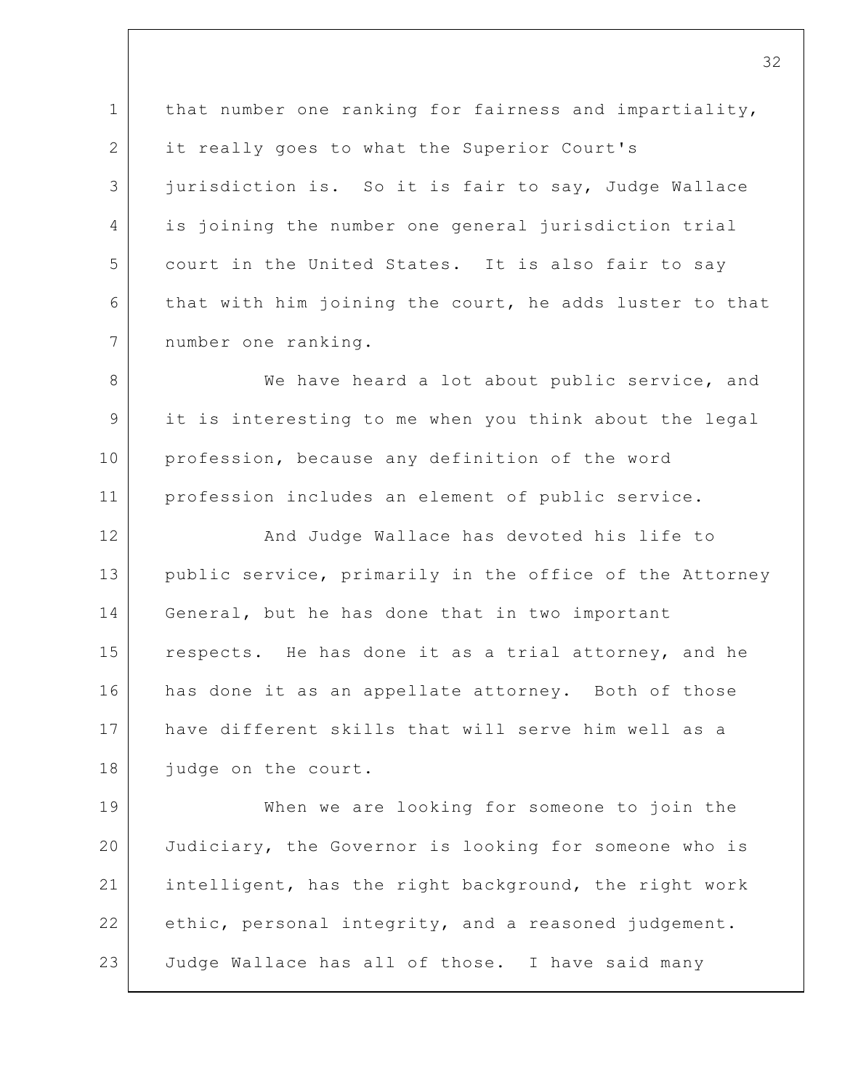1 2 3 4 5 6 7 that number one ranking for fairness and impartiality, it really goes to what the Superior Court's jurisdiction is. So it is fair to say, Judge Wallace is joining the number one general jurisdiction trial court in the United States. It is also fair to say that with him joining the court, he adds luster to that number one ranking.

8 9 10 11 We have heard a lot about public service, and it is interesting to me when you think about the legal profession, because any definition of the word profession includes an element of public service.

12 13 14 15 16 17 18 And Judge Wallace has devoted his life to public service, primarily in the office of the Attorney General, but he has done that in two important respects. He has done it as a trial attorney, and he has done it as an appellate attorney. Both of those have different skills that will serve him well as a judge on the court.

19 20 21 22 23 When we are looking for someone to join the Judiciary, the Governor is looking for someone who is intelligent, has the right background, the right work ethic, personal integrity, and a reasoned judgement. Judge Wallace has all of those. I have said many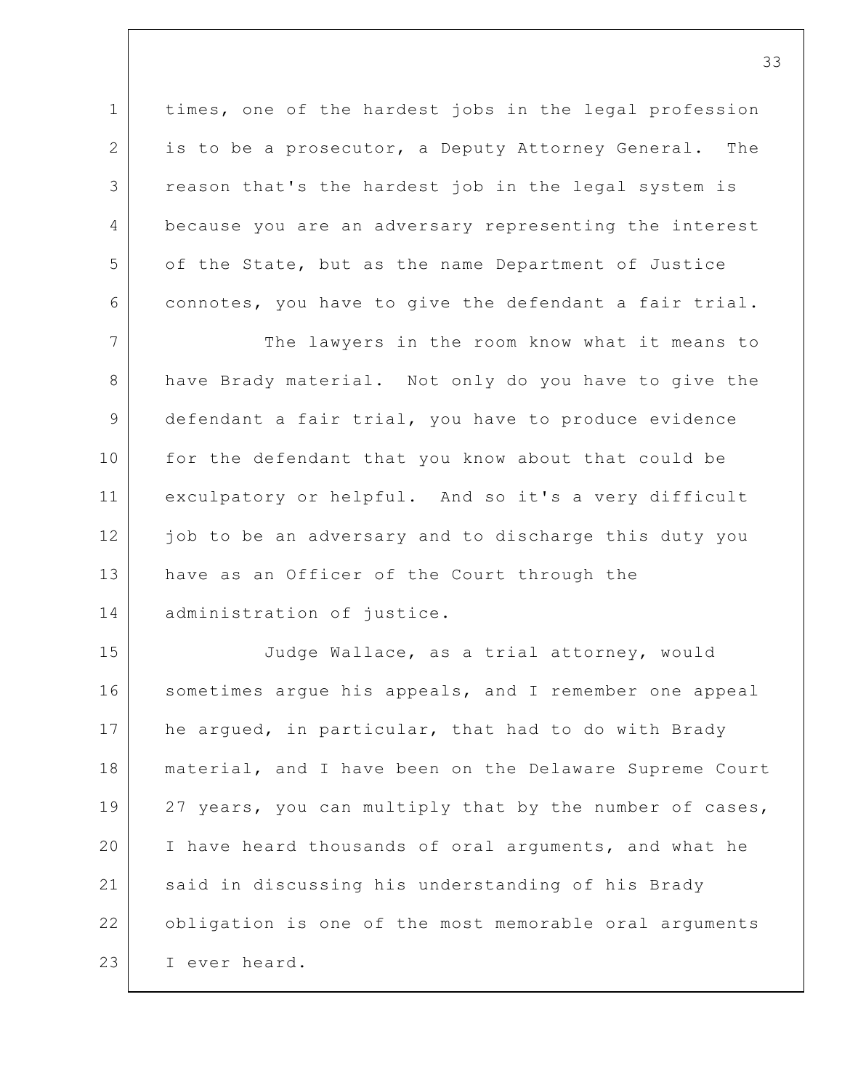1 2 3 4 5 6 times, one of the hardest jobs in the legal profession is to be a prosecutor, a Deputy Attorney General. The reason that's the hardest job in the legal system is because you are an adversary representing the interest of the State, but as the name Department of Justice connotes, you have to give the defendant a fair trial.

7 8 9 10 11 12 13 14 The lawyers in the room know what it means to have Brady material. Not only do you have to give the defendant a fair trial, you have to produce evidence for the defendant that you know about that could be exculpatory or helpful. And so it's a very difficult job to be an adversary and to discharge this duty you have as an Officer of the Court through the administration of justice.

15 16 17 18 19 20 21 22 23 Judge Wallace, as a trial attorney, would sometimes argue his appeals, and I remember one appeal he argued, in particular, that had to do with Brady material, and I have been on the Delaware Supreme Court 27 years, you can multiply that by the number of cases, I have heard thousands of oral arguments, and what he said in discussing his understanding of his Brady obligation is one of the most memorable oral arguments I ever heard.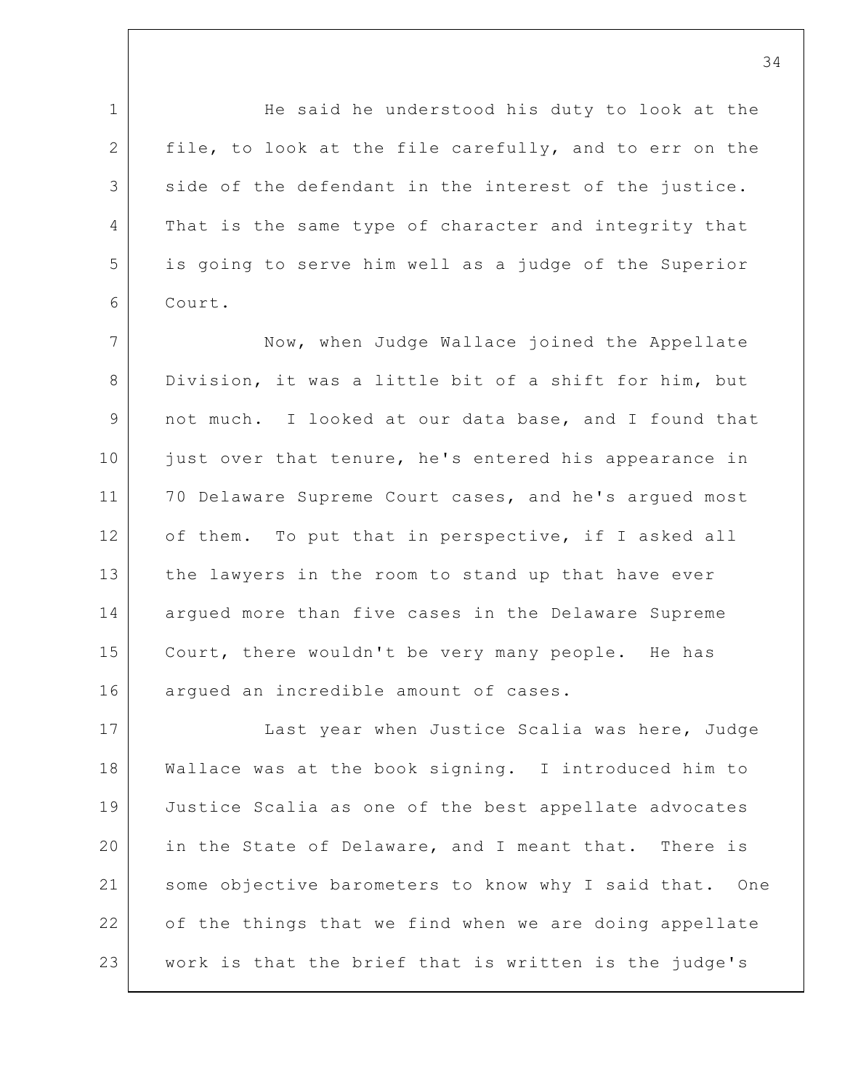1 2 3 4 5 6 7 8 9 10 11 12 13 14 15 16 17 18 19 20 21 22 23 He said he understood his duty to look at the file, to look at the file carefully, and to err on the side of the defendant in the interest of the justice. That is the same type of character and integrity that is going to serve him well as a judge of the Superior Court. Now, when Judge Wallace joined the Appellate Division, it was a little bit of a shift for him, but not much. I looked at our data base, and I found that just over that tenure, he's entered his appearance in 70 Delaware Supreme Court cases, and he's argued most of them. To put that in perspective, if I asked all the lawyers in the room to stand up that have ever argued more than five cases in the Delaware Supreme Court, there wouldn't be very many people. He has argued an incredible amount of cases. Last year when Justice Scalia was here, Judge Wallace was at the book signing. I introduced him to Justice Scalia as one of the best appellate advocates in the State of Delaware, and I meant that. There is some objective barometers to know why I said that. One of the things that we find when we are doing appellate work is that the brief that is written is the judge's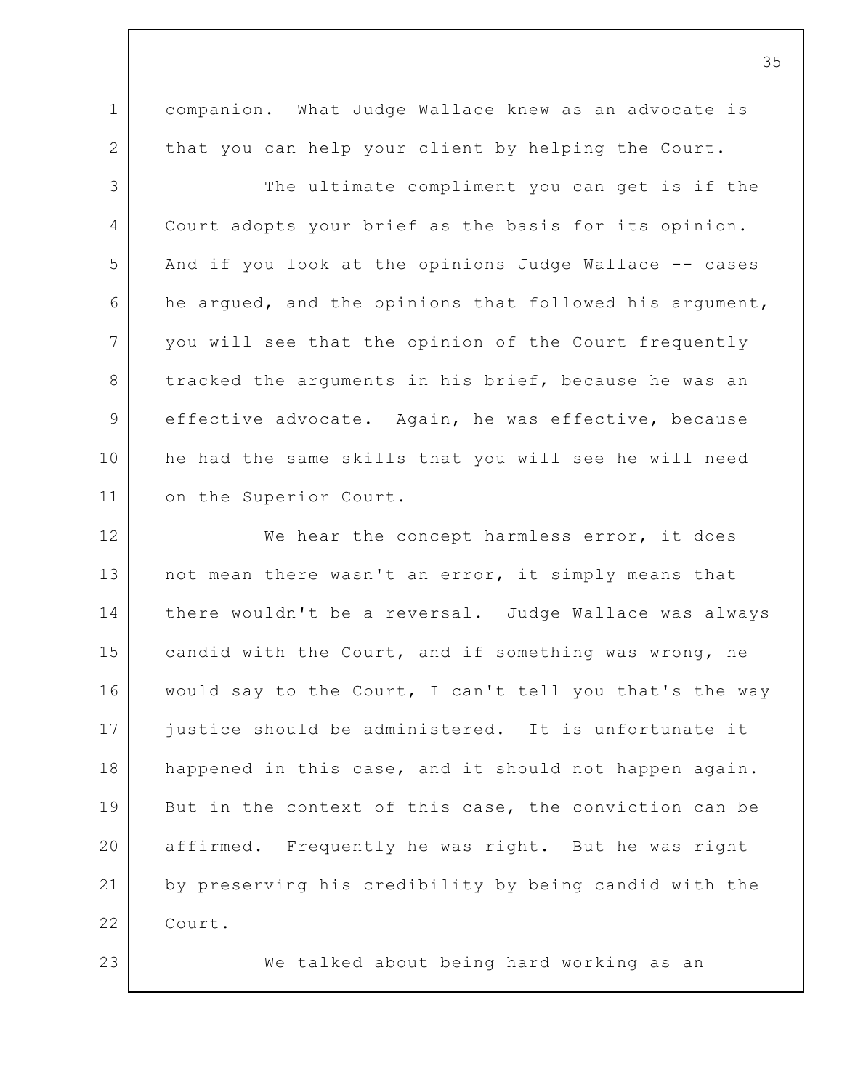1 2 companion. What Judge Wallace knew as an advocate is that you can help your client by helping the Court.

3 4 5 6 7 8 9 10 11 The ultimate compliment you can get is if the Court adopts your brief as the basis for its opinion. And if you look at the opinions Judge Wallace -- cases he argued, and the opinions that followed his argument, you will see that the opinion of the Court frequently tracked the arguments in his brief, because he was an effective advocate. Again, he was effective, because he had the same skills that you will see he will need on the Superior Court.

12 13 14 15 16 17 18 19 20 21 22 We hear the concept harmless error, it does not mean there wasn't an error, it simply means that there wouldn't be a reversal. Judge Wallace was always candid with the Court, and if something was wrong, he would say to the Court, I can't tell you that's the way justice should be administered. It is unfortunate it happened in this case, and it should not happen again. But in the context of this case, the conviction can be affirmed. Frequently he was right. But he was right by preserving his credibility by being candid with the Court.

23

We talked about being hard working as an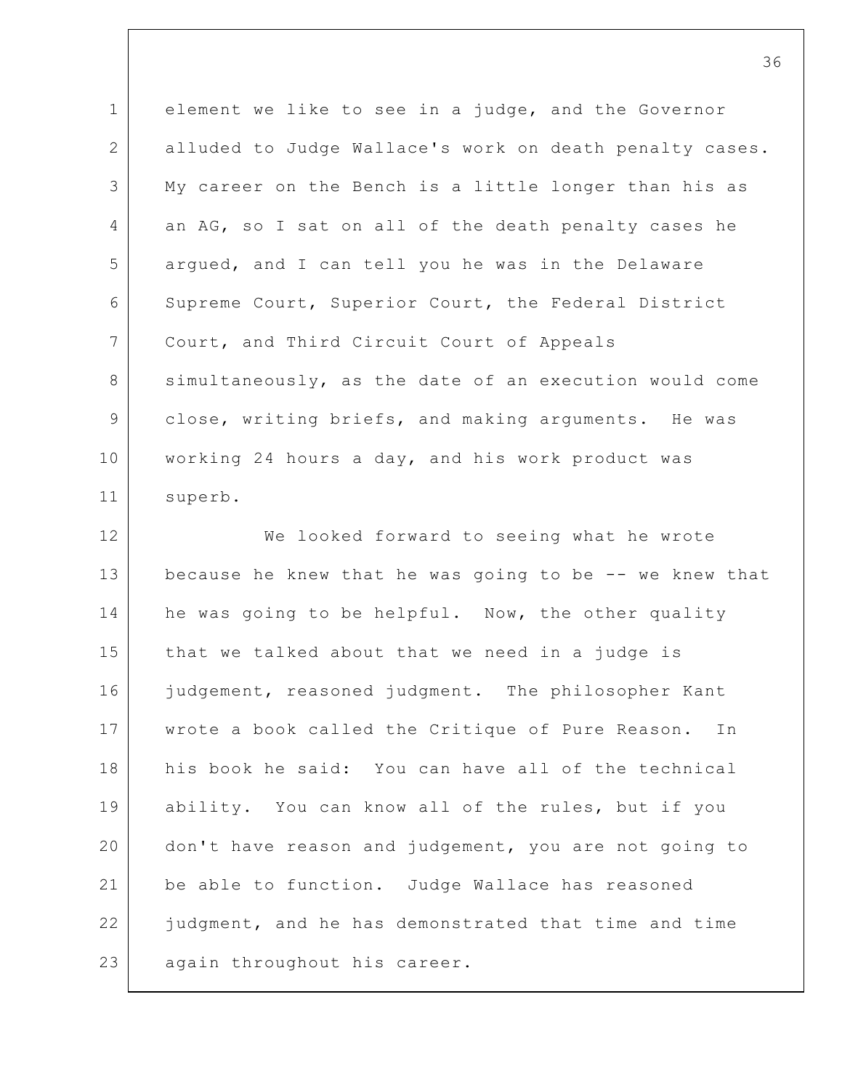1 2 3 4 5 6 7 8 9 10 11 element we like to see in a judge, and the Governor alluded to Judge Wallace's work on death penalty cases. My career on the Bench is a little longer than his as an AG, so I sat on all of the death penalty cases he argued, and I can tell you he was in the Delaware Supreme Court, Superior Court, the Federal District Court, and Third Circuit Court of Appeals simultaneously, as the date of an execution would come close, writing briefs, and making arguments. He was working 24 hours a day, and his work product was superb.

12 13 14 15 16 17 18 19 20 21 22 23 We looked forward to seeing what he wrote because he knew that he was going to be -- we knew that he was going to be helpful. Now, the other quality that we talked about that we need in a judge is judgement, reasoned judgment. The philosopher Kant wrote a book called the Critique of Pure Reason. In his book he said: You can have all of the technical ability. You can know all of the rules, but if you don't have reason and judgement, you are not going to be able to function. Judge Wallace has reasoned judgment, and he has demonstrated that time and time again throughout his career.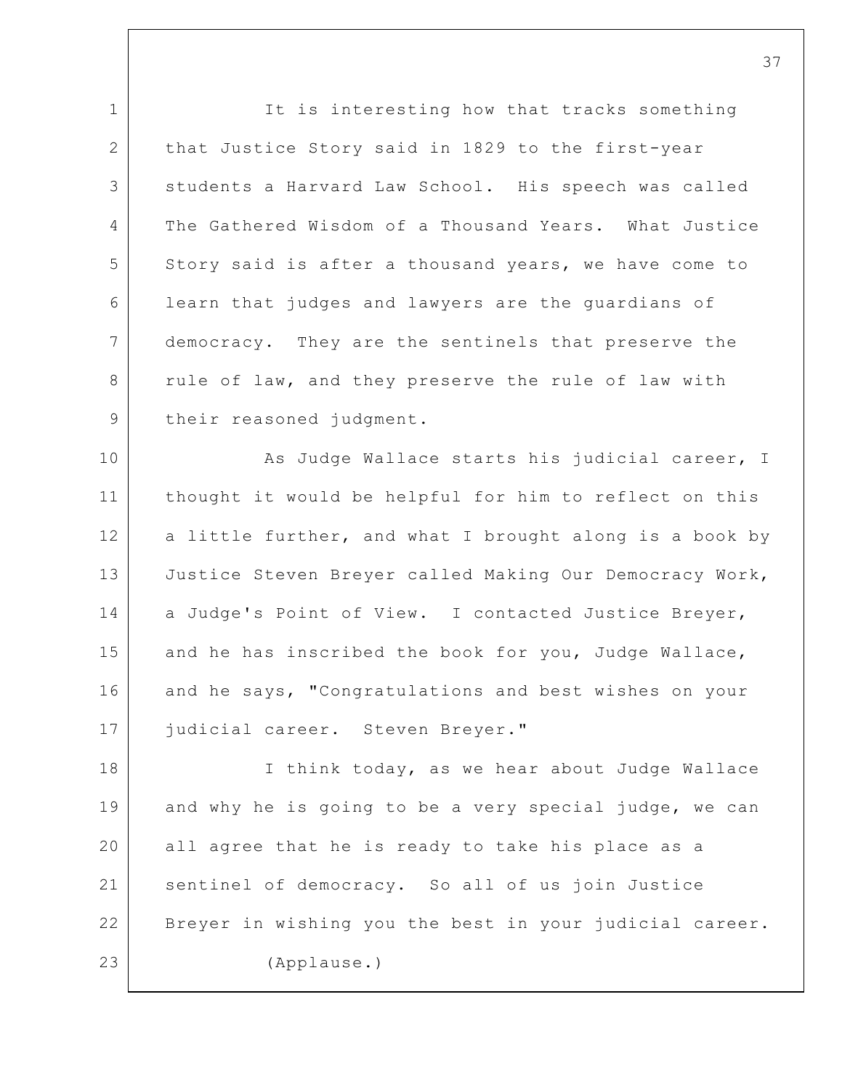1 2 3 4 5 6 7 8 9 It is interesting how that tracks something that Justice Story said in 1829 to the first-year students a Harvard Law School. His speech was called The Gathered Wisdom of a Thousand Years. What Justice Story said is after a thousand years, we have come to learn that judges and lawyers are the guardians of democracy. They are the sentinels that preserve the rule of law, and they preserve the rule of law with their reasoned judgment.

10 11 12 13 14 15 16 17 As Judge Wallace starts his judicial career, I thought it would be helpful for him to reflect on this a little further, and what I brought along is a book by Justice Steven Breyer called Making Our Democracy Work, a Judge's Point of View. I contacted Justice Breyer, and he has inscribed the book for you, Judge Wallace, and he says, "Congratulations and best wishes on your judicial career. Steven Breyer."

18 19 20 21 22 23 I think today, as we hear about Judge Wallace and why he is going to be a very special judge, we can all agree that he is ready to take his place as a sentinel of democracy. So all of us join Justice Breyer in wishing you the best in your judicial career. (Applause.)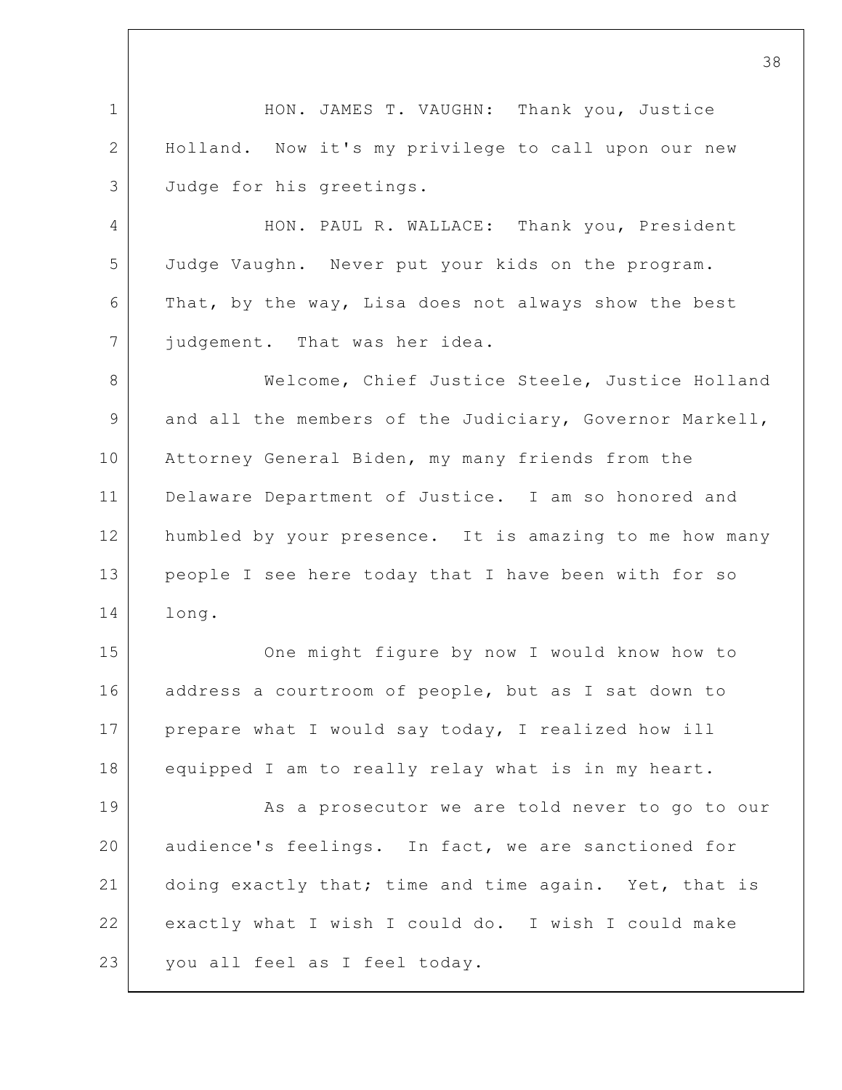1 2 3 4 5 6 7 8 9 10 11 12 13 14 15 16 17 18 19 20 21 22 23 38 HON. JAMES T. VAUGHN: Thank you, Justice Holland. Now it's my privilege to call upon our new Judge for his greetings. HON. PAUL R. WALLACE: Thank you, President Judge Vaughn. Never put your kids on the program. That, by the way, Lisa does not always show the best judgement. That was her idea. Welcome, Chief Justice Steele, Justice Holland and all the members of the Judiciary, Governor Markell, Attorney General Biden, my many friends from the Delaware Department of Justice. I am so honored and humbled by your presence. It is amazing to me how many people I see here today that I have been with for so long. One might figure by now I would know how to address a courtroom of people, but as I sat down to prepare what I would say today, I realized how ill equipped I am to really relay what is in my heart. As a prosecutor we are told never to go to our audience's feelings. In fact, we are sanctioned for doing exactly that; time and time again. Yet, that is exactly what I wish I could do. I wish I could make you all feel as I feel today.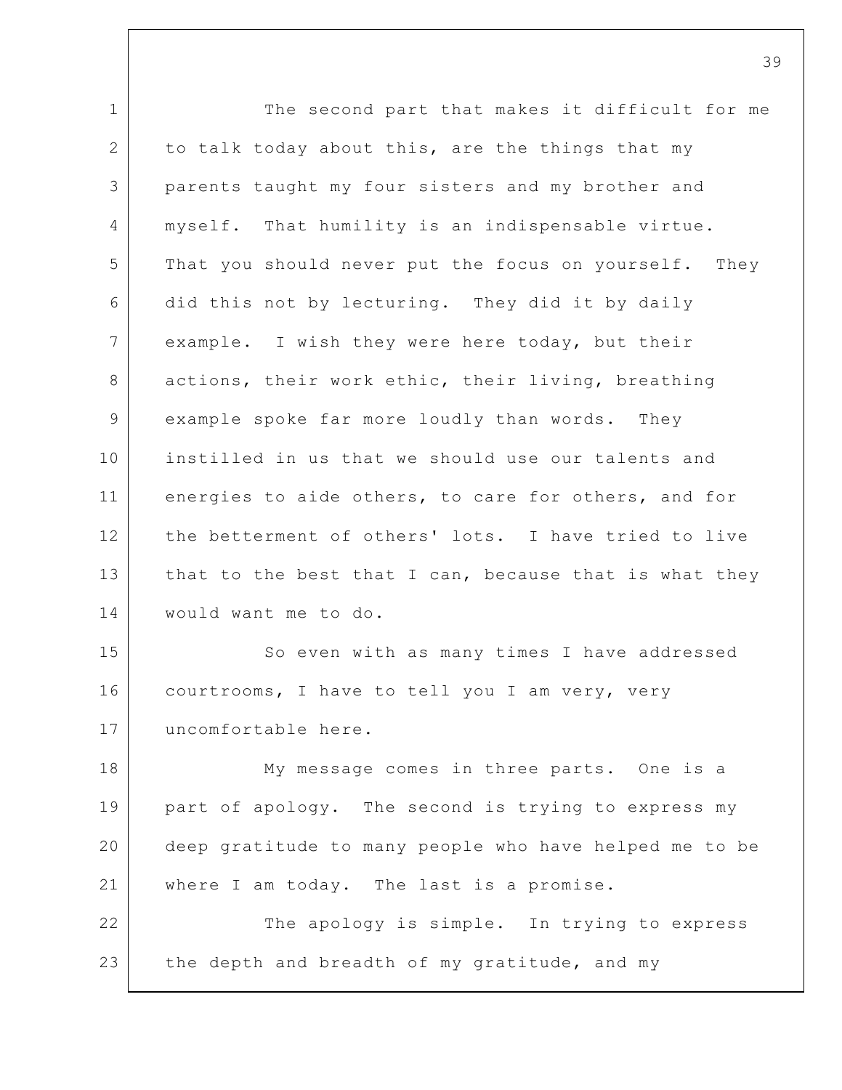1 2 3 4 5 6 7 8 9 10 11 12 13 14 15 16 17 18 19 20 21 22 23 The second part that makes it difficult for me to talk today about this, are the things that my parents taught my four sisters and my brother and myself. That humility is an indispensable virtue. That you should never put the focus on yourself. They did this not by lecturing. They did it by daily example. I wish they were here today, but their actions, their work ethic, their living, breathing example spoke far more loudly than words. They instilled in us that we should use our talents and energies to aide others, to care for others, and for the betterment of others' lots. I have tried to live that to the best that I can, because that is what they would want me to do. So even with as many times I have addressed courtrooms, I have to tell you I am very, very uncomfortable here. My message comes in three parts. One is a part of apology. The second is trying to express my deep gratitude to many people who have helped me to be where I am today. The last is a promise. The apology is simple. In trying to express the depth and breadth of my gratitude, and my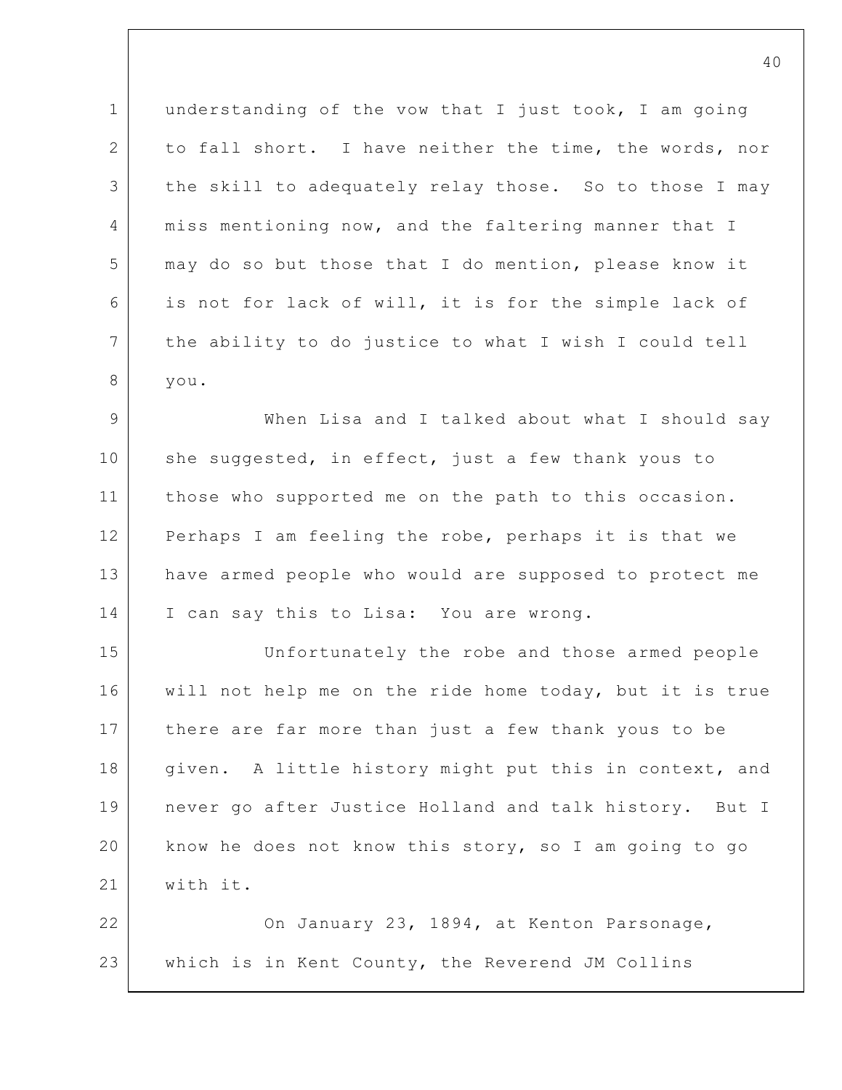1 2 3 4 5 6 7 8 understanding of the vow that I just took, I am going to fall short. I have neither the time, the words, nor the skill to adequately relay those. So to those I may miss mentioning now, and the faltering manner that I may do so but those that I do mention, please know it is not for lack of will, it is for the simple lack of the ability to do justice to what I wish I could tell you.

9 10 11 12 13 14 When Lisa and I talked about what I should say she suggested, in effect, just a few thank yous to those who supported me on the path to this occasion. Perhaps I am feeling the robe, perhaps it is that we have armed people who would are supposed to protect me I can say this to Lisa: You are wrong.

15 16 17 18 19 20 21 Unfortunately the robe and those armed people will not help me on the ride home today, but it is true there are far more than just a few thank yous to be given. A little history might put this in context, and never go after Justice Holland and talk history. But I know he does not know this story, so I am going to go with it.

22 23 On January 23, 1894, at Kenton Parsonage, which is in Kent County, the Reverend JM Collins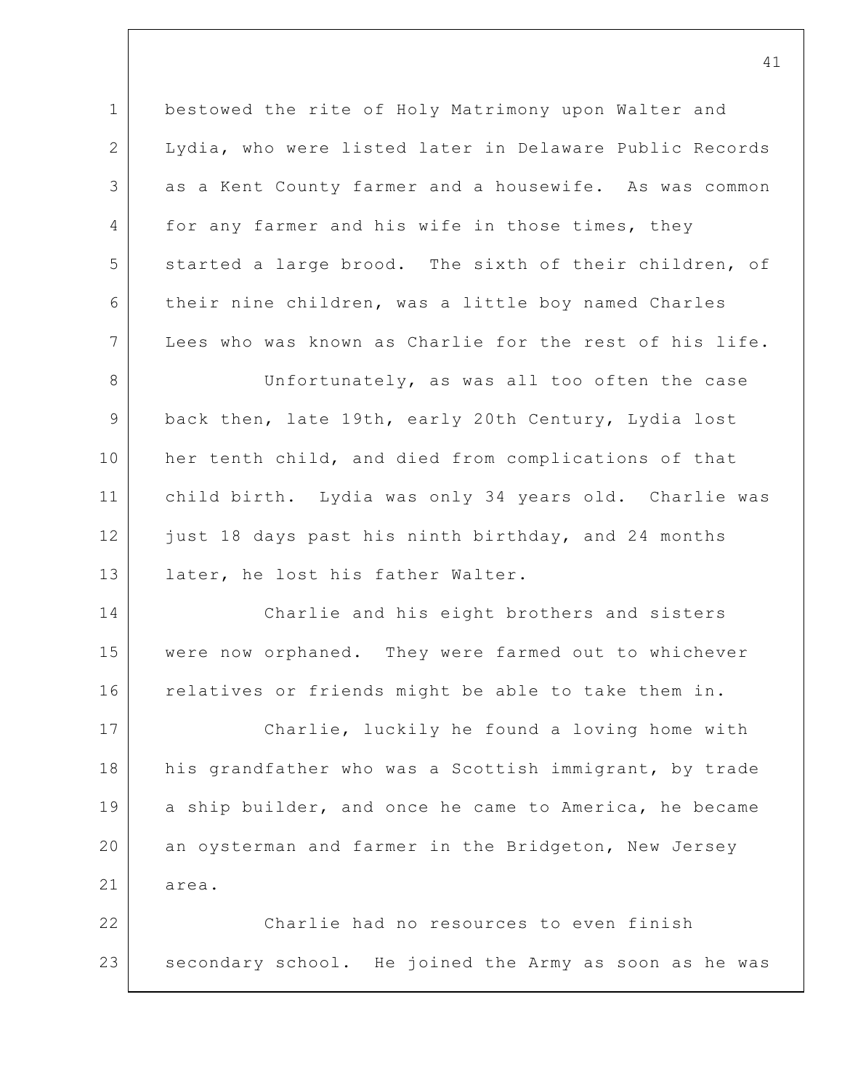1 2 3 4 5 6 7 8 9 10 11 12 13 14 15 16 17 18 19 20 21 22 23 bestowed the rite of Holy Matrimony upon Walter and Lydia, who were listed later in Delaware Public Records as a Kent County farmer and a housewife. As was common for any farmer and his wife in those times, they started a large brood. The sixth of their children, of their nine children, was a little boy named Charles Lees who was known as Charlie for the rest of his life. Unfortunately, as was all too often the case back then, late 19th, early 20th Century, Lydia lost her tenth child, and died from complications of that child birth. Lydia was only 34 years old. Charlie was just 18 days past his ninth birthday, and 24 months later, he lost his father Walter. Charlie and his eight brothers and sisters were now orphaned. They were farmed out to whichever relatives or friends might be able to take them in. Charlie, luckily he found a loving home with his grandfather who was a Scottish immigrant, by trade a ship builder, and once he came to America, he became an oysterman and farmer in the Bridgeton, New Jersey area. Charlie had no resources to even finish secondary school. He joined the Army as soon as he was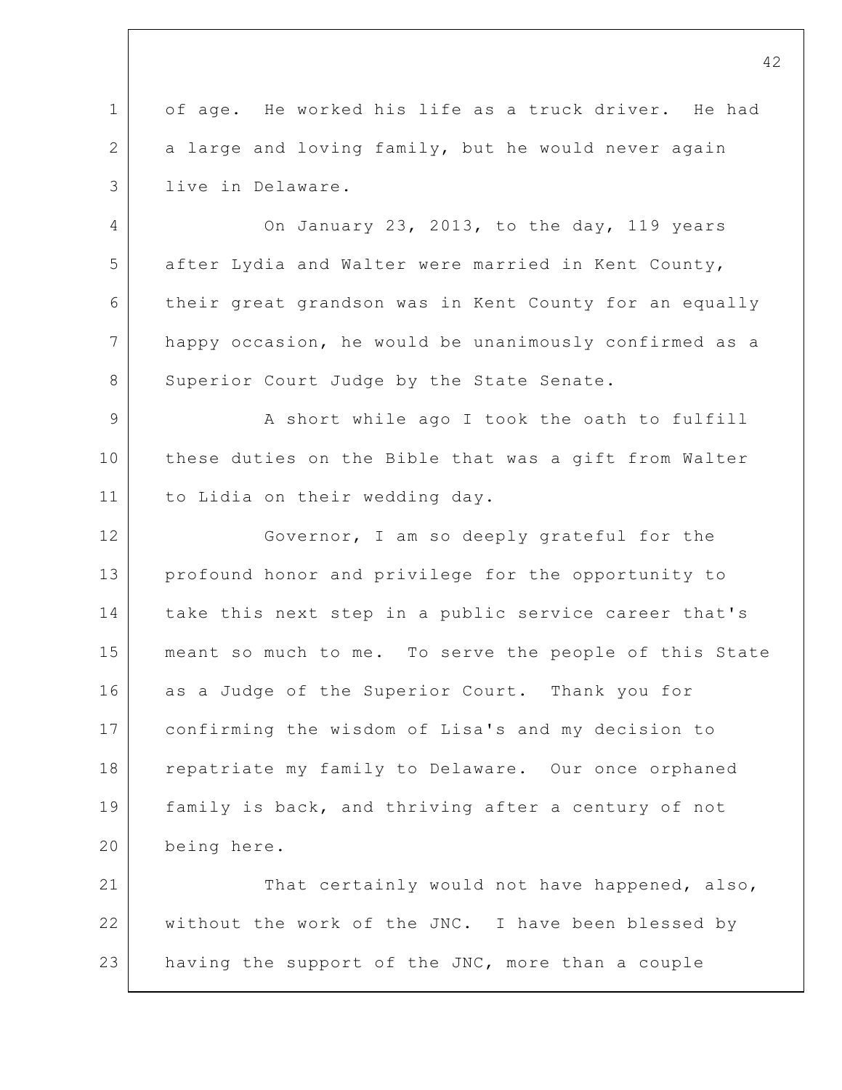1 2 3 4 5 of age. He worked his life as a truck driver. He had a large and loving family, but he would never again live in Delaware. On January 23, 2013, to the day, 119 years after Lydia and Walter were married in Kent County,

6 7 8 their great grandson was in Kent County for an equally happy occasion, he would be unanimously confirmed as a Superior Court Judge by the State Senate.

9 10 11 A short while ago I took the oath to fulfill these duties on the Bible that was a gift from Walter to Lidia on their wedding day.

12 13 14 15 16 17 18 19 20 Governor, I am so deeply grateful for the profound honor and privilege for the opportunity to take this next step in a public service career that's meant so much to me. To serve the people of this State as a Judge of the Superior Court. Thank you for confirming the wisdom of Lisa's and my decision to repatriate my family to Delaware. Our once orphaned family is back, and thriving after a century of not being here.

21 22 23 That certainly would not have happened, also, without the work of the JNC. I have been blessed by having the support of the JNC, more than a couple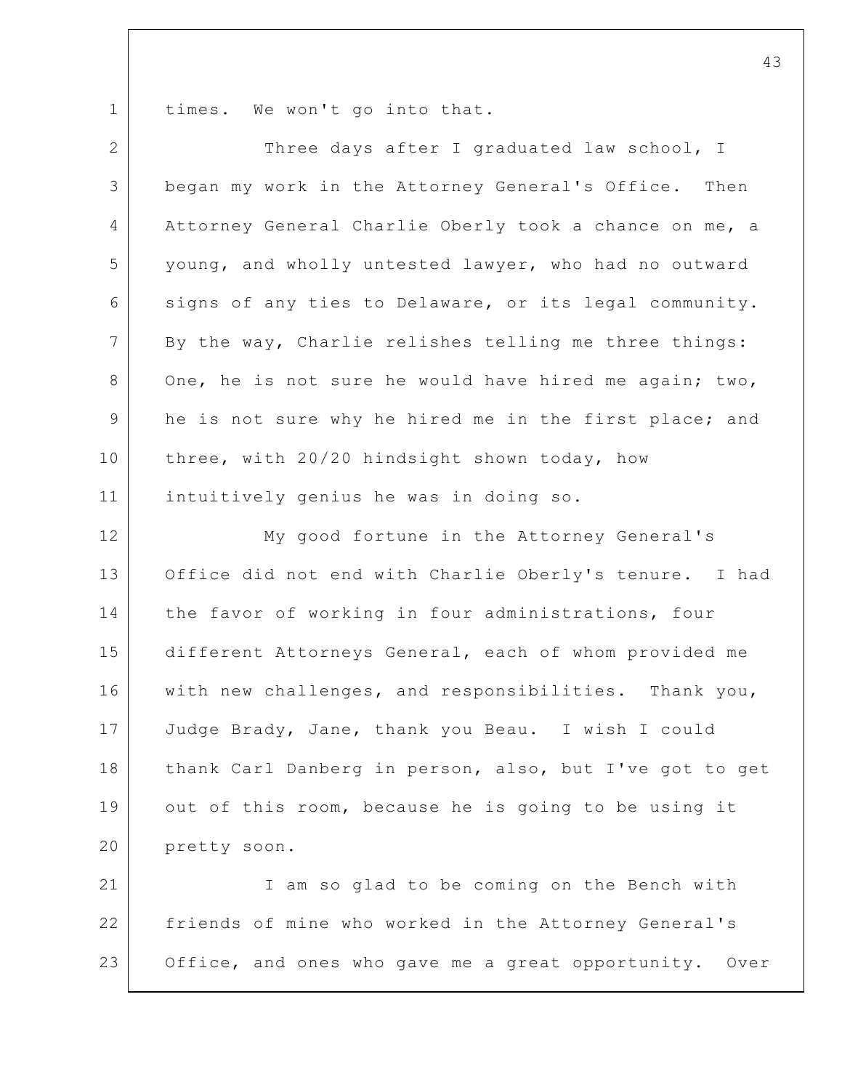1 times. We won't go into that.

| $\mathbf{2}$   | Three days after I graduated law school, I              |
|----------------|---------------------------------------------------------|
| 3              | began my work in the Attorney General's Office. Then    |
| 4              | Attorney General Charlie Oberly took a chance on me, a  |
| 5              | young, and wholly untested lawyer, who had no outward   |
| 6              | signs of any ties to Delaware, or its legal community.  |
| $\overline{7}$ | By the way, Charlie relishes telling me three things:   |
| 8              | One, he is not sure he would have hired me again; two,  |
| 9              | he is not sure why he hired me in the first place; and  |
| 10             | three, with 20/20 hindsight shown today, how            |
| 11             | intuitively genius he was in doing so.                  |
| 12             | My good fortune in the Attorney General's               |
| 13             | Office did not end with Charlie Oberly's tenure. I had  |
| 14             | the favor of working in four administrations, four      |
| 15             | different Attorneys General, each of whom provided me   |
| 16             | with new challenges, and responsibilities. Thank you,   |
| 17             | Judge Brady, Jane, thank you Beau. I wish I could       |
| 18             | thank Carl Danberg in person, also, but I've got to get |
| 19             | out of this room, because he is going to be using it    |
| 20             | pretty soon.                                            |
| 21             | I am so glad to be coming on the Bench with             |
| 22             | friends of mine who worked in the Attorney General's    |
| 23             | Office, and ones who gave me a great opportunity. Over  |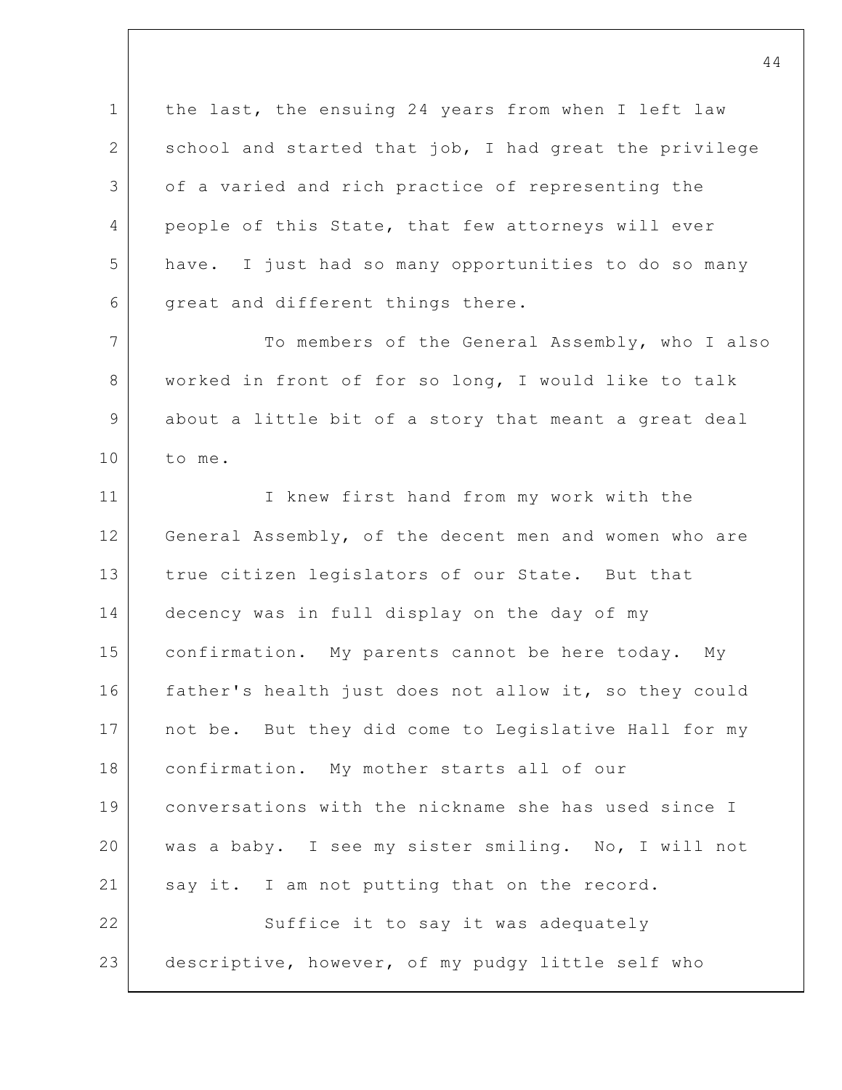1 2 3 4 5 6 7 8 9 10 11 12 13 14 15 16 17 18 19 20 21 22 23 the last, the ensuing 24 years from when I left law school and started that job, I had great the privilege of a varied and rich practice of representing the people of this State, that few attorneys will ever have. I just had so many opportunities to do so many great and different things there. To members of the General Assembly, who I also worked in front of for so long, I would like to talk about a little bit of a story that meant a great deal to me. I knew first hand from my work with the General Assembly, of the decent men and women who are true citizen legislators of our State. But that decency was in full display on the day of my confirmation. My parents cannot be here today. My father's health just does not allow it, so they could not be. But they did come to Legislative Hall for my confirmation. My mother starts all of our conversations with the nickname she has used since I was a baby. I see my sister smiling. No, I will not say it. I am not putting that on the record. Suffice it to say it was adequately descriptive, however, of my pudgy little self who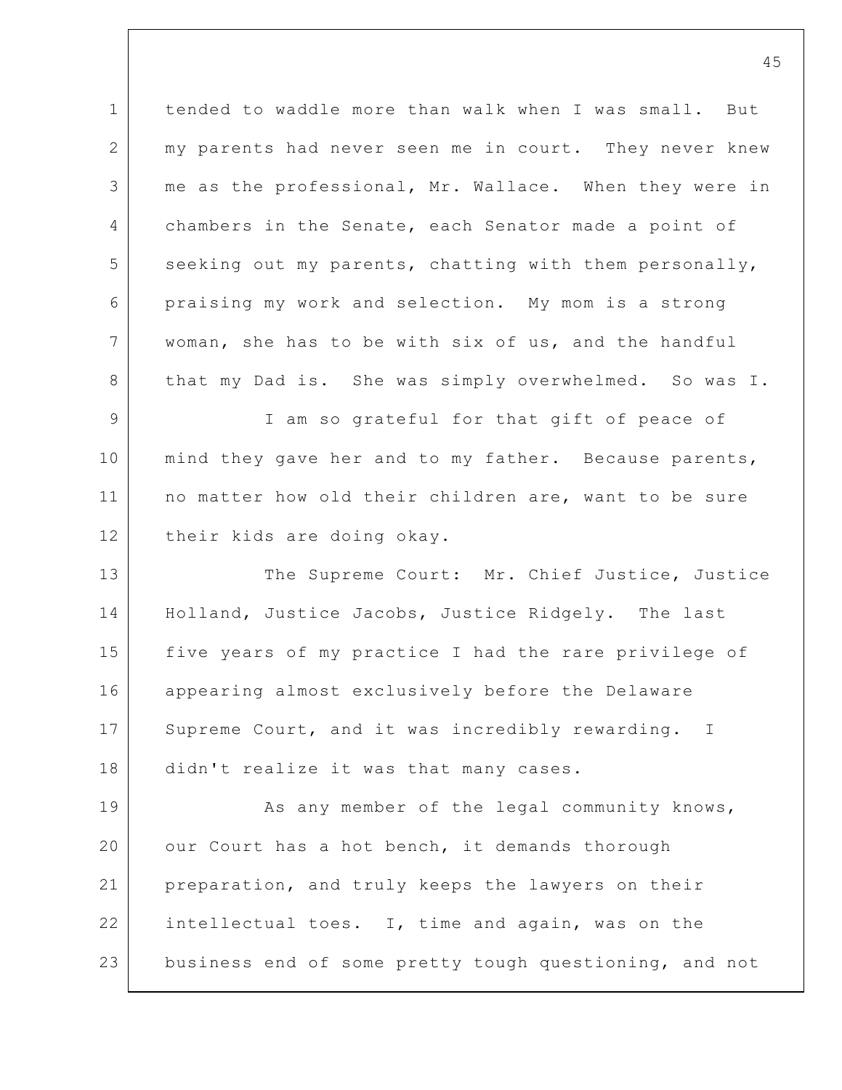1 2 3 4 5 6 7 8 tended to waddle more than walk when I was small. But my parents had never seen me in court. They never knew me as the professional, Mr. Wallace. When they were in chambers in the Senate, each Senator made a point of seeking out my parents, chatting with them personally, praising my work and selection. My mom is a strong woman, she has to be with six of us, and the handful that my Dad is. She was simply overwhelmed. So was I.

9 10 11 12 I am so grateful for that gift of peace of mind they gave her and to my father. Because parents, no matter how old their children are, want to be sure their kids are doing okay.

13 14 15 16 17 18 The Supreme Court: Mr. Chief Justice, Justice Holland, Justice Jacobs, Justice Ridgely. The last five years of my practice I had the rare privilege of appearing almost exclusively before the Delaware Supreme Court, and it was incredibly rewarding. I didn't realize it was that many cases.

19 20 21 22 23 As any member of the legal community knows, our Court has a hot bench, it demands thorough preparation, and truly keeps the lawyers on their intellectual toes. I, time and again, was on the business end of some pretty tough questioning, and not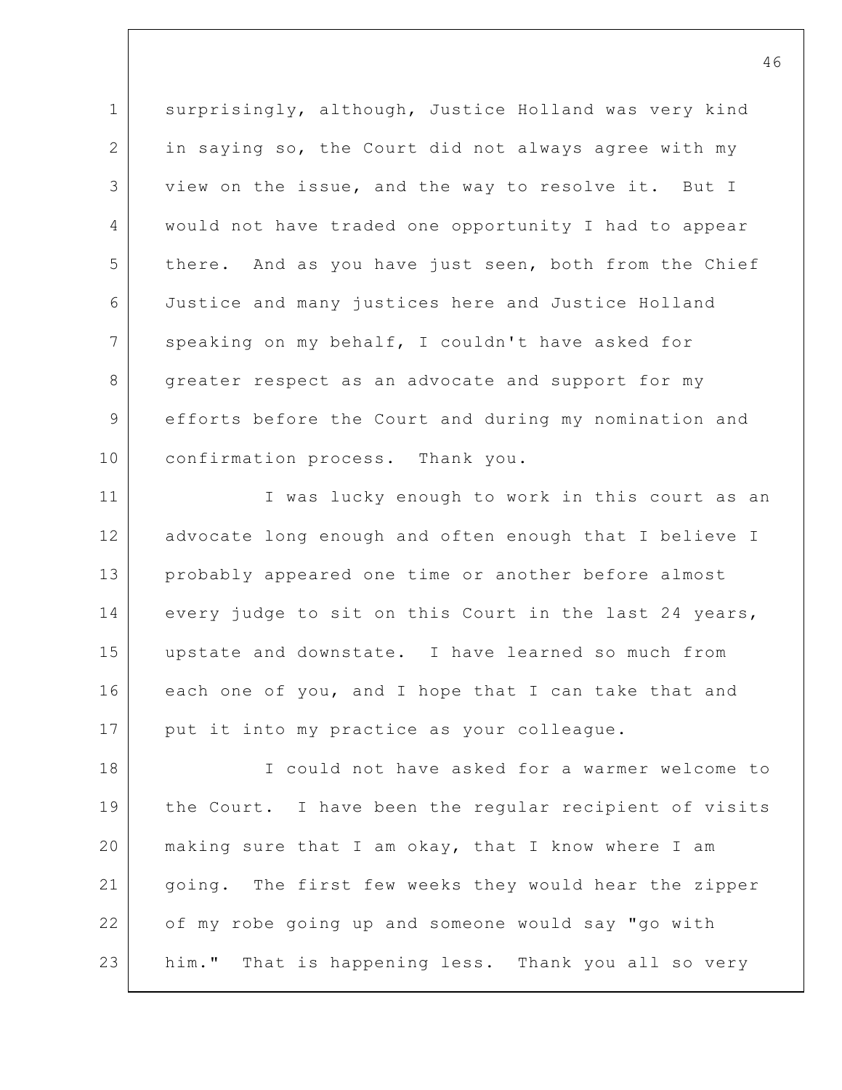1 2 3 4 5 6 7 8 9 10 surprisingly, although, Justice Holland was very kind in saying so, the Court did not always agree with my view on the issue, and the way to resolve it. But I would not have traded one opportunity I had to appear there. And as you have just seen, both from the Chief Justice and many justices here and Justice Holland speaking on my behalf, I couldn't have asked for greater respect as an advocate and support for my efforts before the Court and during my nomination and confirmation process. Thank you.

11 12 13 14 15 16 17 I was lucky enough to work in this court as an advocate long enough and often enough that I believe I probably appeared one time or another before almost every judge to sit on this Court in the last 24 years, upstate and downstate. I have learned so much from each one of you, and I hope that I can take that and put it into my practice as your colleague.

18 19 20 21 22 23 I could not have asked for a warmer welcome to the Court. I have been the regular recipient of visits making sure that I am okay, that I know where I am going. The first few weeks they would hear the zipper of my robe going up and someone would say "go with him." That is happening less. Thank you all so very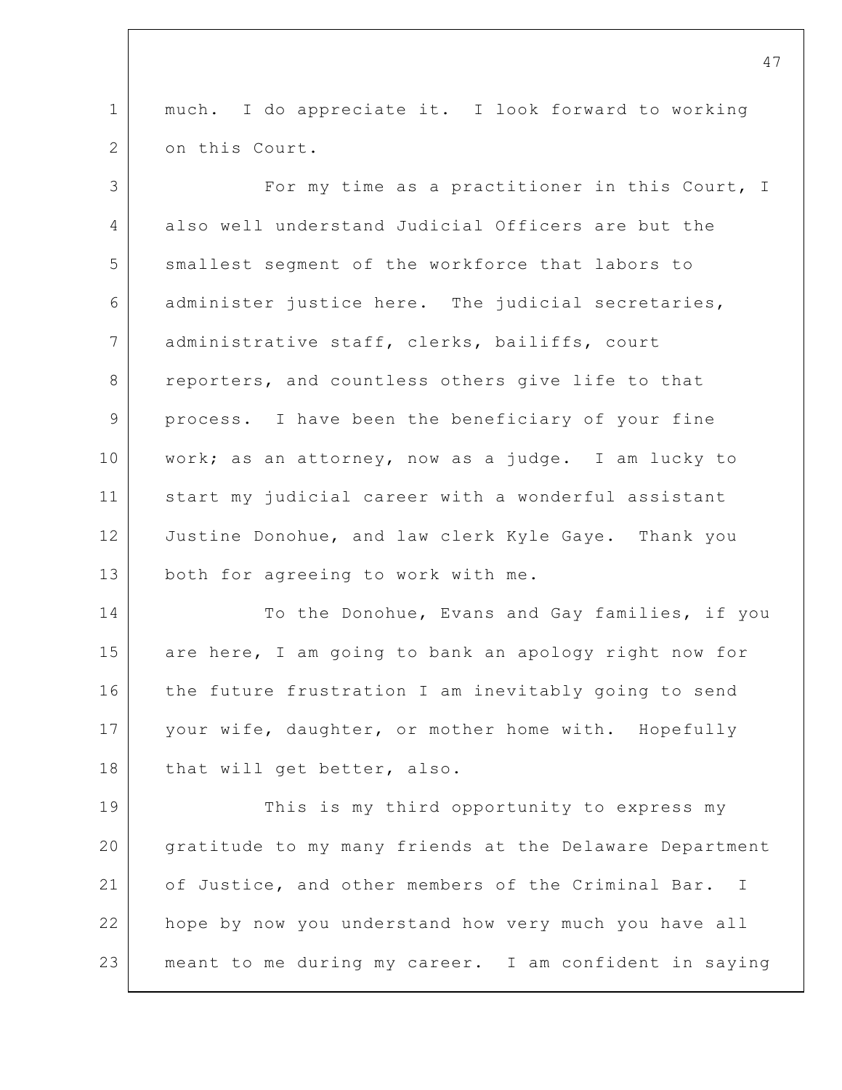1 2 much. I do appreciate it. I look forward to working on this Court.

3 4 5 6 7 8 9 10 11 12 13 For my time as a practitioner in this Court, I also well understand Judicial Officers are but the smallest segment of the workforce that labors to administer justice here. The judicial secretaries, administrative staff, clerks, bailiffs, court reporters, and countless others give life to that process. I have been the beneficiary of your fine work; as an attorney, now as a judge. I am lucky to start my judicial career with a wonderful assistant Justine Donohue, and law clerk Kyle Gaye. Thank you both for agreeing to work with me.

14 15 16 17 18 To the Donohue, Evans and Gay families, if you are here, I am going to bank an apology right now for the future frustration I am inevitably going to send your wife, daughter, or mother home with. Hopefully that will get better, also.

19 20 21 22 23 This is my third opportunity to express my gratitude to my many friends at the Delaware Department of Justice, and other members of the Criminal Bar. I hope by now you understand how very much you have all meant to me during my career. I am confident in saying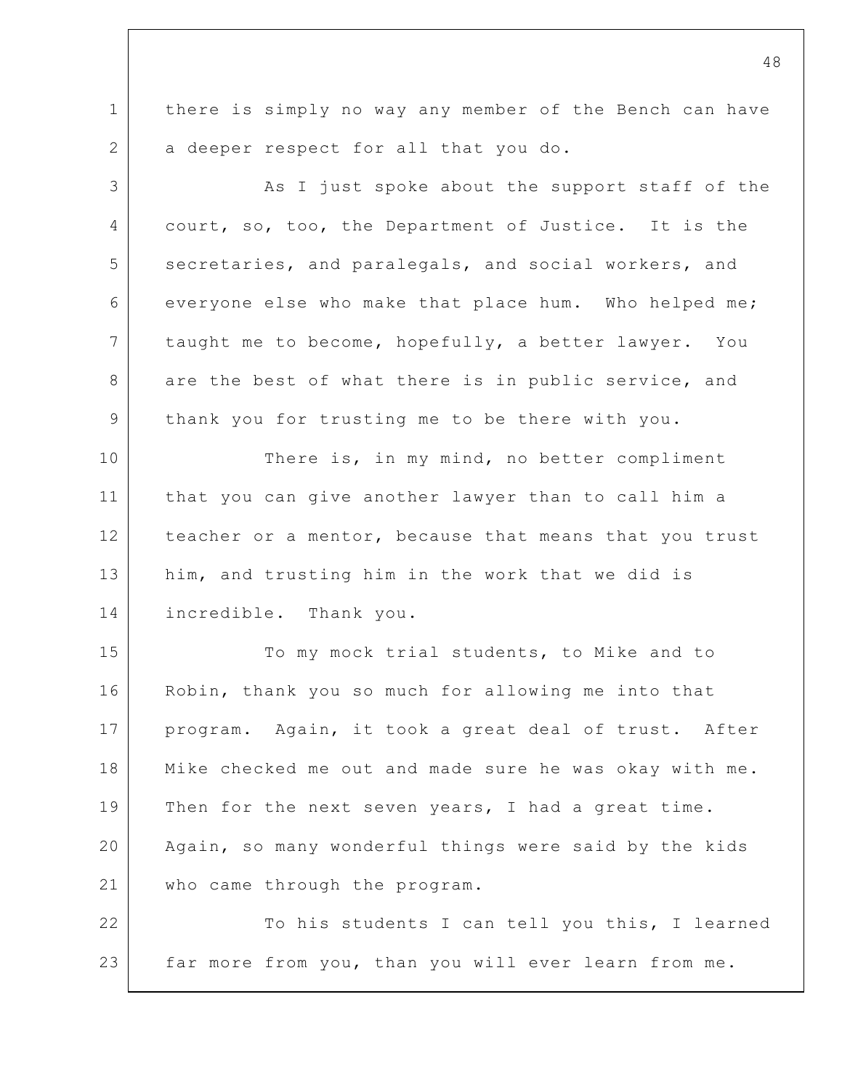1 2 there is simply no way any member of the Bench can have a deeper respect for all that you do.

3 4 5 6 7 8 9 10 11 12 13 14 15 16 17 18 19 20 21 22 As I just spoke about the support staff of the court, so, too, the Department of Justice. It is the secretaries, and paralegals, and social workers, and everyone else who make that place hum. Who helped me; taught me to become, hopefully, a better lawyer. You are the best of what there is in public service, and thank you for trusting me to be there with you. There is, in my mind, no better compliment that you can give another lawyer than to call him a teacher or a mentor, because that means that you trust him, and trusting him in the work that we did is incredible. Thank you. To my mock trial students, to Mike and to Robin, thank you so much for allowing me into that program. Again, it took a great deal of trust. After Mike checked me out and made sure he was okay with me. Then for the next seven years, I had a great time. Again, so many wonderful things were said by the kids who came through the program. To his students I can tell you this, I learned

23

far more from you, than you will ever learn from me.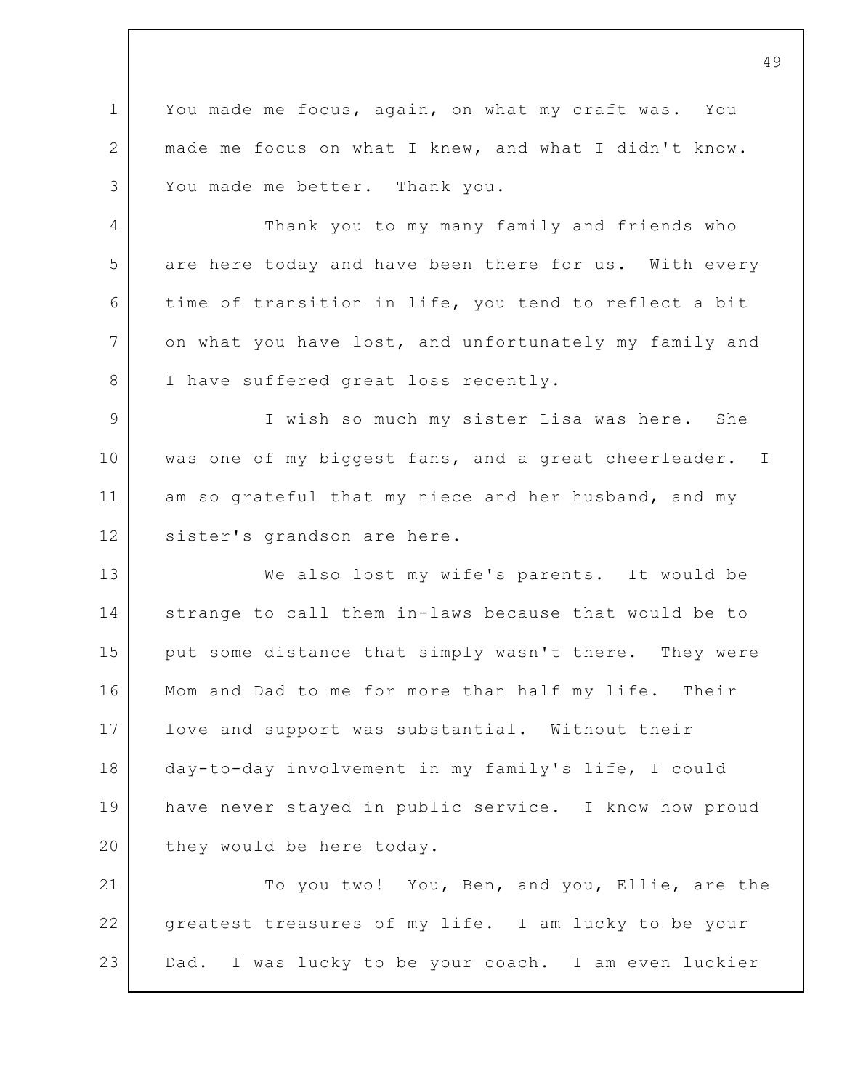1 2 3 You made me focus, again, on what my craft was. You made me focus on what I knew, and what I didn't know. You made me better. Thank you.

4 5 6 7 8 Thank you to my many family and friends who are here today and have been there for us. With every time of transition in life, you tend to reflect a bit on what you have lost, and unfortunately my family and I have suffered great loss recently.

9 10 11 12 I wish so much my sister Lisa was here. She was one of my biggest fans, and a great cheerleader. I am so grateful that my niece and her husband, and my sister's grandson are here.

13 14 15 16 17 18 19 20 We also lost my wife's parents. It would be strange to call them in-laws because that would be to put some distance that simply wasn't there. They were Mom and Dad to me for more than half my life. Their love and support was substantial. Without their day-to-day involvement in my family's life, I could have never stayed in public service. I know how proud they would be here today.

21 22 23 To you two! You, Ben, and you, Ellie, are the greatest treasures of my life. I am lucky to be your Dad. I was lucky to be your coach. I am even luckier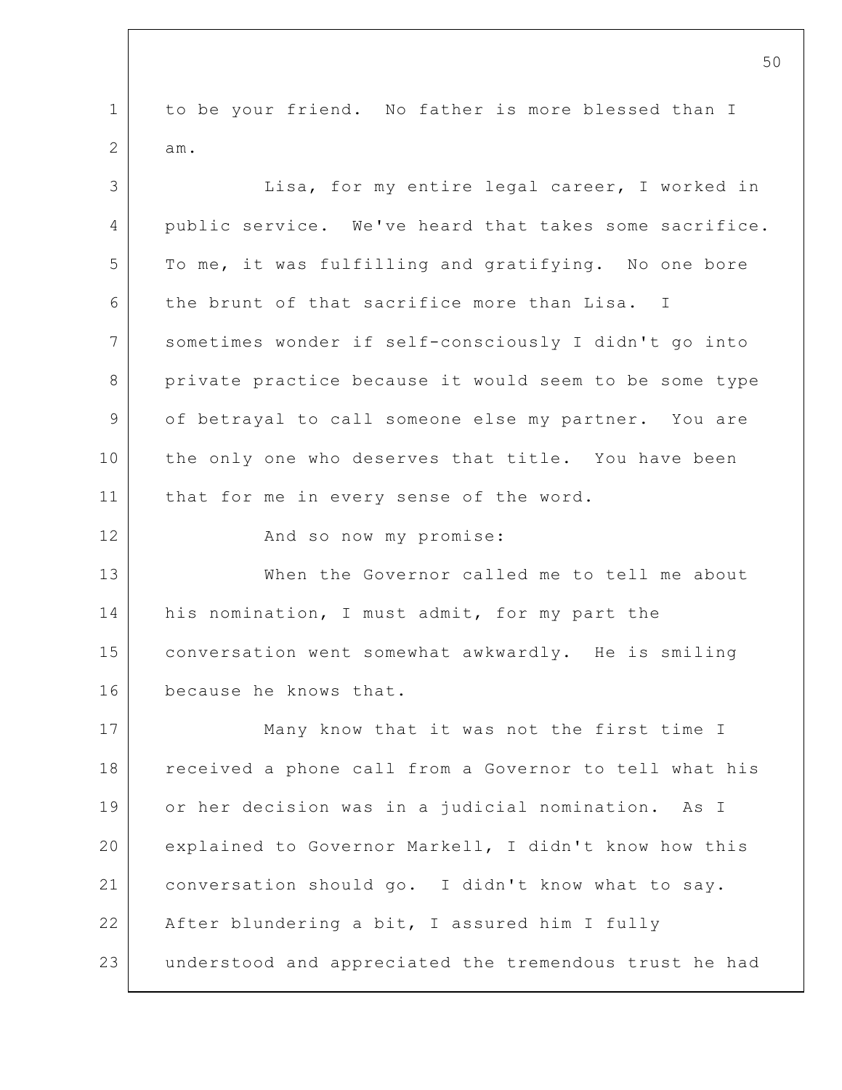1 2 3 4 5 6 7 8 9 10 11 12 13 14 15 16 17 18 19 20 21 22 23 to be your friend. No father is more blessed than I am. Lisa, for my entire legal career, I worked in public service. We've heard that takes some sacrifice. To me, it was fulfilling and gratifying. No one bore the brunt of that sacrifice more than Lisa. I sometimes wonder if self-consciously I didn't go into private practice because it would seem to be some type of betrayal to call someone else my partner. You are the only one who deserves that title. You have been that for me in every sense of the word. And so now my promise: When the Governor called me to tell me about his nomination, I must admit, for my part the conversation went somewhat awkwardly. He is smiling because he knows that. Many know that it was not the first time I received a phone call from a Governor to tell what his or her decision was in a judicial nomination. As I explained to Governor Markell, I didn't know how this conversation should go. I didn't know what to say. After blundering a bit, I assured him I fully understood and appreciated the tremendous trust he had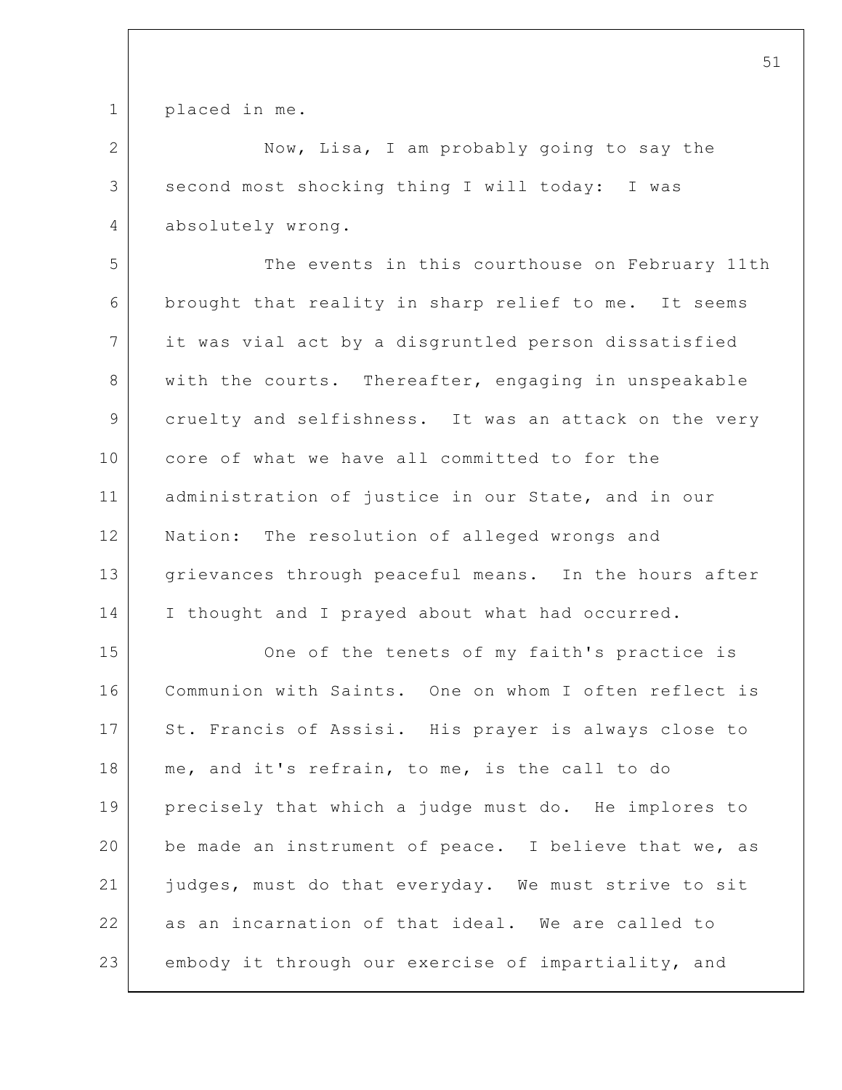1 placed in me.

2

4

3 Now, Lisa, I am probably going to say the second most shocking thing I will today: I was absolutely wrong.

5 6 7 8 9 10 11 12 13 14 The events in this courthouse on February 11th brought that reality in sharp relief to me. It seems it was vial act by a disgruntled person dissatisfied with the courts. Thereafter, engaging in unspeakable cruelty and selfishness. It was an attack on the very core of what we have all committed to for the administration of justice in our State, and in our Nation: The resolution of alleged wrongs and grievances through peaceful means. In the hours after I thought and I prayed about what had occurred.

15 16 17 18 19 20 21 22 23 One of the tenets of my faith's practice is Communion with Saints. One on whom I often reflect is St. Francis of Assisi. His prayer is always close to me, and it's refrain, to me, is the call to do precisely that which a judge must do. He implores to be made an instrument of peace. I believe that we, as judges, must do that everyday. We must strive to sit as an incarnation of that ideal. We are called to embody it through our exercise of impartiality, and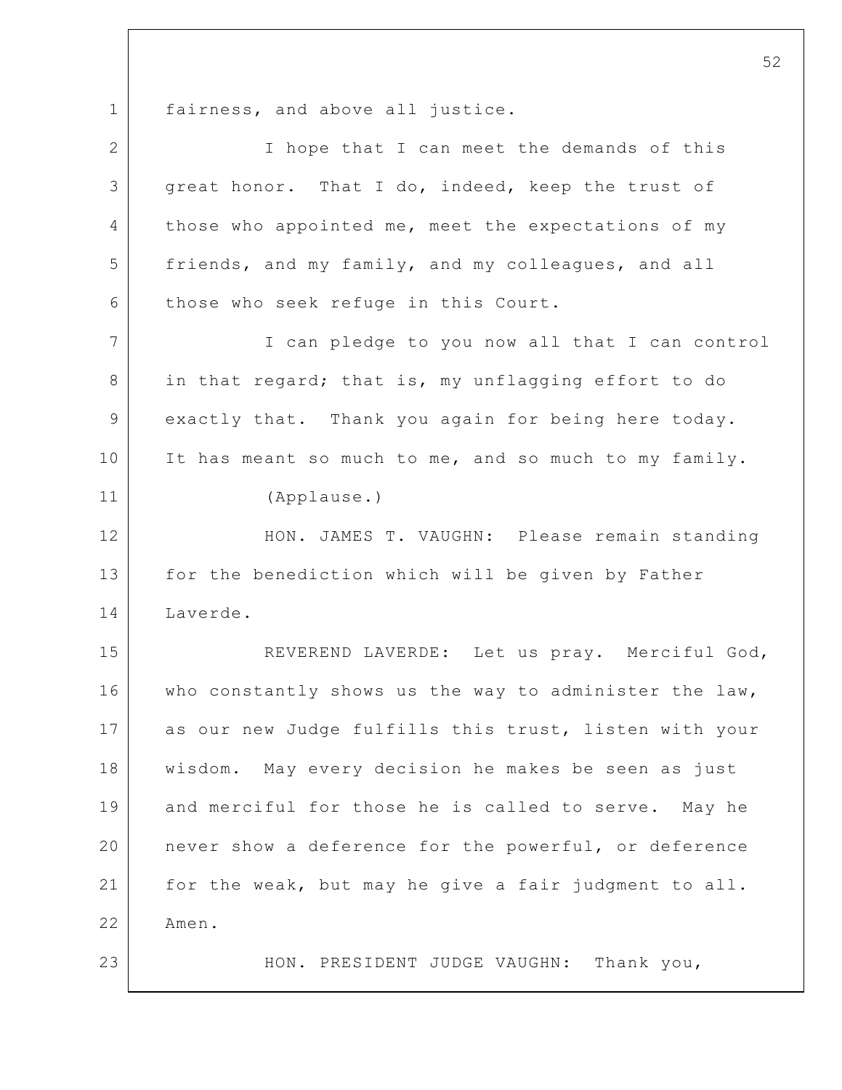1 fairness, and above all justice.

| $\overline{2}$ | I hope that I can meet the demands of this             |
|----------------|--------------------------------------------------------|
| 3              | great honor. That I do, indeed, keep the trust of      |
| 4              | those who appointed me, meet the expectations of my    |
| 5              | friends, and my family, and my colleagues, and all     |
| 6              | those who seek refuge in this Court.                   |
| 7              | I can pledge to you now all that I can control         |
| 8              | in that regard; that is, my unflagging effort to do    |
| 9              | exactly that. Thank you again for being here today.    |
| 10             | It has meant so much to me, and so much to my family.  |
| 11             | (Applause.)                                            |
| 12             | HON. JAMES T. VAUGHN: Please remain standing           |
| 13             | for the benediction which will be given by Father      |
| 14             | Laverde.                                               |
| 15             | REVEREND LAVERDE: Let us pray. Merciful God,           |
| 16             | who constantly shows us the way to administer the law, |
| 17             | as our new Judge fulfills this trust, listen with your |
| 18             | wisdom. May every decision he makes be seen as just    |
| 19             | and merciful for those he is called to serve. May he   |
| 20             | never show a deference for the powerful, or deference  |
| 21             | for the weak, but may he give a fair judgment to all.  |
| 22             | Amen.                                                  |
| 23             | Thank you,<br>HON. PRESIDENT JUDGE VAUGHN:             |